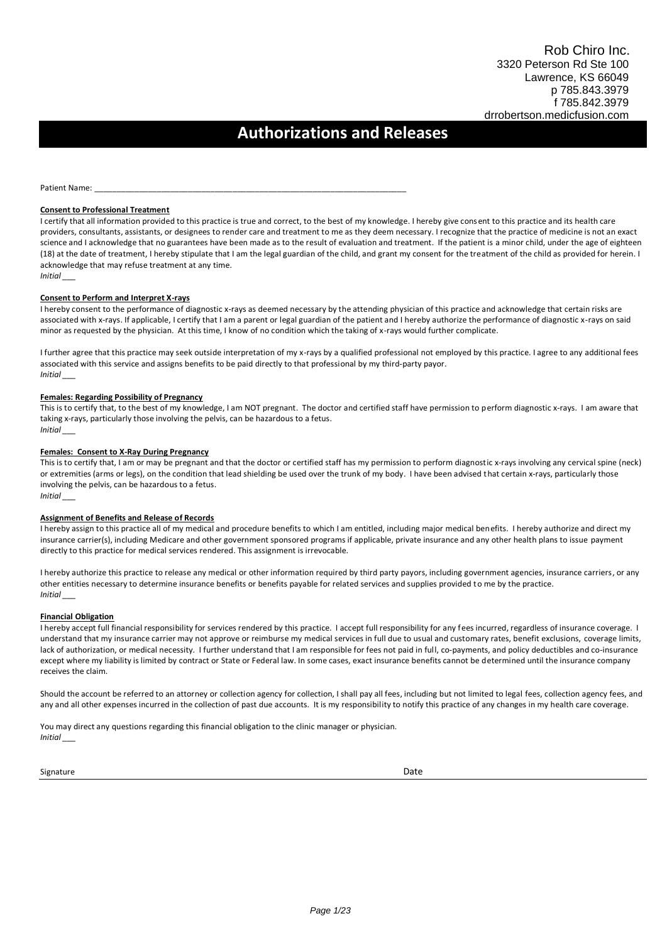# **Authorizations and Releases**

Patient Name:

#### **Consent to Professional Treatment**

I certify that all information provided to this practice is true and correct, to the best of my knowledge. I hereby give consent to this practice and its health care providers, consultants, assistants, or designees to render care and treatment to me as they deem necessary. I recognize that the practice of medicine is not an exact science and I acknowledge that no guarantees have been made as to the result of evaluation and treatment. If the patient is a minor child, under the age of eighteen (18) at the date of treatment, I hereby stipulate that I am the legal guardian of the child, and grant my consent for the treatment of the child as provided for herein. I acknowledge that may refuse treatment at any time. *Initial \_\_\_*

#### **Consent to Perform and Interpret X-rays**

I hereby consent to the performance of diagnostic x-rays as deemed necessary by the attending physician of this practice and acknowledge that certain risks are associated with x-rays. If applicable, I certify that I am a parent or legal guardian of the patient and I hereby authorize the performance of diagnostic x-rays on said minor as requested by the physician. At this time, I know of no condition which the taking of x-rays would further complicate.

I further agree that this practice may seek outside interpretation of my x-rays by a qualified professional not employed by this practice. I agree to any additional fees associated with this service and assigns benefits to be paid directly to that professional by my third-party payor. *Initial \_\_\_* 

#### **Females: Regarding Possibility of Pregnancy**

This is to certify that, to the best of my knowledge, I am NOT pregnant. The doctor and certified staff have permission to perform diagnostic x-rays. I am aware that taking x-rays, particularly those involving the pelvis, can be hazardous to a fetus. *Initial \_\_\_* 

#### **Females: Consent to X-Ray During Pregnancy**

This is to certify that, I am or may be pregnant and that the doctor or certified staff has my permission to perform diagnostic x-rays involving any cervical spine (neck) or extremities (arms or legs), on the condition that lead shielding be used over the trunk of my body. I have been advised that certain x-rays, particularly those involving the pelvis, can be hazardous to a fetus. *Initial \_\_\_* 

#### **Assignment of Benefits and Release of Records**

I hereby assign to this practice all of my medical and procedure benefits to which I am entitled, including major medical benefits. I hereby authorize and direct my insurance carrier(s), including Medicare and other government sponsored programs if applicable, private insurance and any other health plans to issue payment directly to this practice for medical services rendered. This assignment is irrevocable.

I hereby authorize this practice to release any medical or other information required by third party payors, including government agencies, insurance carriers, or any other entities necessary to determine insurance benefits or benefits payable for related services and supplies provided to me by the practice. *Initial \_\_\_* 

#### **Financial Obligation**

I hereby accept full financial responsibility for services rendered by this practice. I accept full responsibility for any fees incurred, regardless of insurance coverage. I understand that my insurance carrier may not approve or reimburse my medical services in full due to usual and customary rates, benefit exclusions, coverage limits, lack of authorization, or medical necessity. I further understand that I am responsible for fees not paid in full, co-payments, and policy deductibles and co-insurance except where my liability is limited by contract or State or Federal law. In some cases, exact insurance benefits cannot be determined until the insurance company receives the claim.

Should the account be referred to an attorney or collection agency for collection, I shall pay all fees, including but not limited to legal fees, collection agency fees, and any and all other expenses incurred in the collection of past due accounts. It is my responsibility to notify this practice of any changes in my health care coverage.

You may direct any questions regarding this financial obligation to the clinic manager or physician. *Initial \_\_\_* 

**Signature** Date **Date 2018**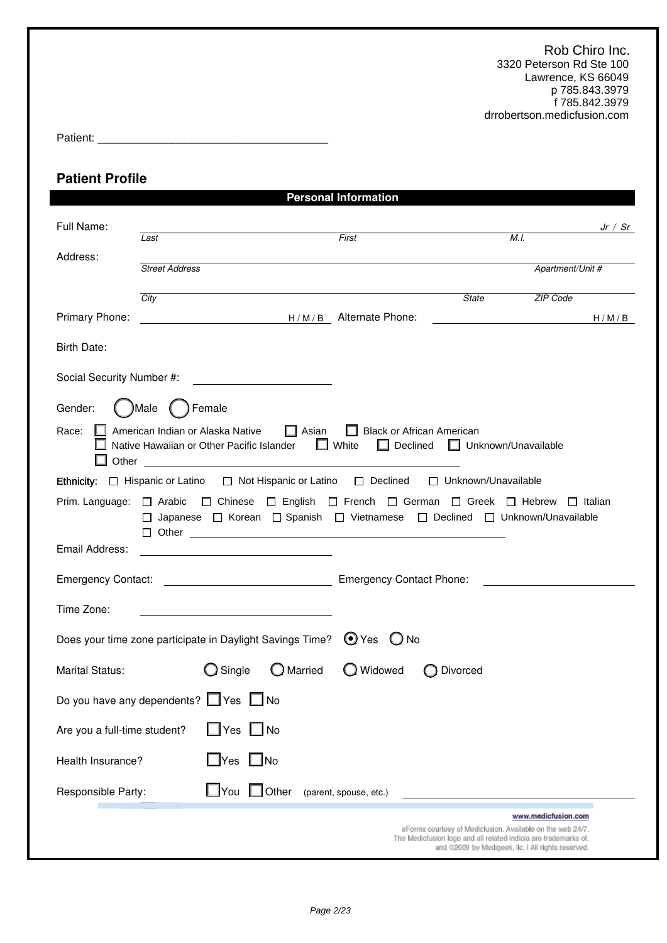Patient: \_\_\_\_\_\_\_\_\_\_\_\_\_\_\_\_\_\_\_\_\_\_\_\_\_\_\_\_\_\_\_\_\_\_\_\_\_

## **Patient Profile**

|                              |                                                                                                                                                                                       |                        | <b>Personal Information</b> |                                                                 |                                                    |                |
|------------------------------|---------------------------------------------------------------------------------------------------------------------------------------------------------------------------------------|------------------------|-----------------------------|-----------------------------------------------------------------|----------------------------------------------------|----------------|
| Full Name:                   | Last                                                                                                                                                                                  |                        | First                       |                                                                 | M.I.                                               | Jr / Sr        |
| Address:                     | <b>Street Address</b>                                                                                                                                                                 |                        |                             |                                                                 | Apartment/Unit #                                   |                |
|                              |                                                                                                                                                                                       |                        |                             |                                                                 |                                                    |                |
| Primary Phone:               | City                                                                                                                                                                                  | H/M/B Alternate Phone: |                             | <b>State</b>                                                    | ZIP Code                                           | H/M/B          |
|                              |                                                                                                                                                                                       |                        |                             |                                                                 |                                                    |                |
| Birth Date:                  |                                                                                                                                                                                       |                        |                             |                                                                 |                                                    |                |
| Social Security Number #:    |                                                                                                                                                                                       |                        |                             |                                                                 |                                                    |                |
| Gender:                      | )Male<br>Female                                                                                                                                                                       |                        |                             |                                                                 |                                                    |                |
| Race:                        | American Indian or Alaska Native <b>In Asian</b><br>Native Hawaiian or Other Pacific Islander □ White                                                                                 |                        | $\Box$ Declined             | Black or African American                                       | $\Box$ Unknown/Unavailable                         |                |
|                              | Ethnicity: □ Hispanic or Latino □ Not Hispanic or Latino □ Declined □ Unknown/Unavailable                                                                                             |                        |                             |                                                                 |                                                    |                |
|                              | Prim. Language: □ Arabic □ Chinese □ English □ French □ German □ Greek □ Hebrew<br>□ Japanese □ Korean □ Spanish □ Vietnamese □ Declined □ Unknown/Unavailable<br>$\Box$ Other $\Box$ |                        |                             |                                                                 |                                                    | $\Box$ Italian |
| Email Address:               |                                                                                                                                                                                       |                        |                             |                                                                 |                                                    |                |
|                              |                                                                                                                                                                                       |                        |                             |                                                                 |                                                    |                |
| Time Zone:                   |                                                                                                                                                                                       |                        |                             |                                                                 |                                                    |                |
|                              | Does your time zone participate in Daylight Savings Time? $\bigcirc$ Yes $\bigcirc$ No                                                                                                |                        |                             |                                                                 |                                                    |                |
| <b>Marital Status:</b>       | $\bigcirc$ Single                                                                                                                                                                     | O Married              | O Widowed                   | Divorced                                                        |                                                    |                |
|                              | Do you have any dependents? Ves No                                                                                                                                                    |                        |                             |                                                                 |                                                    |                |
| Are you a full-time student? |                                                                                                                                                                                       | $\Box$ Yes $\Box$ No   |                             |                                                                 |                                                    |                |
| Health Insurance?            | $\square$ Yes                                                                                                                                                                         | $\Box$ No              |                             |                                                                 |                                                    |                |
| Responsible Party:           | $\bigsqcup$ You                                                                                                                                                                       | Other<br>. .           | (parent, spouse, etc.)      |                                                                 |                                                    |                |
|                              |                                                                                                                                                                                       |                        |                             | eForms courtesy of Medicfusion. Available on the web 24/7.      | www.medicfusion.com                                |                |
|                              |                                                                                                                                                                                       |                        |                             | The Medicfusion logo and all related indicia are trademarks of, | and @2009 by Medigeek, Ilc. I All rights reserved. |                |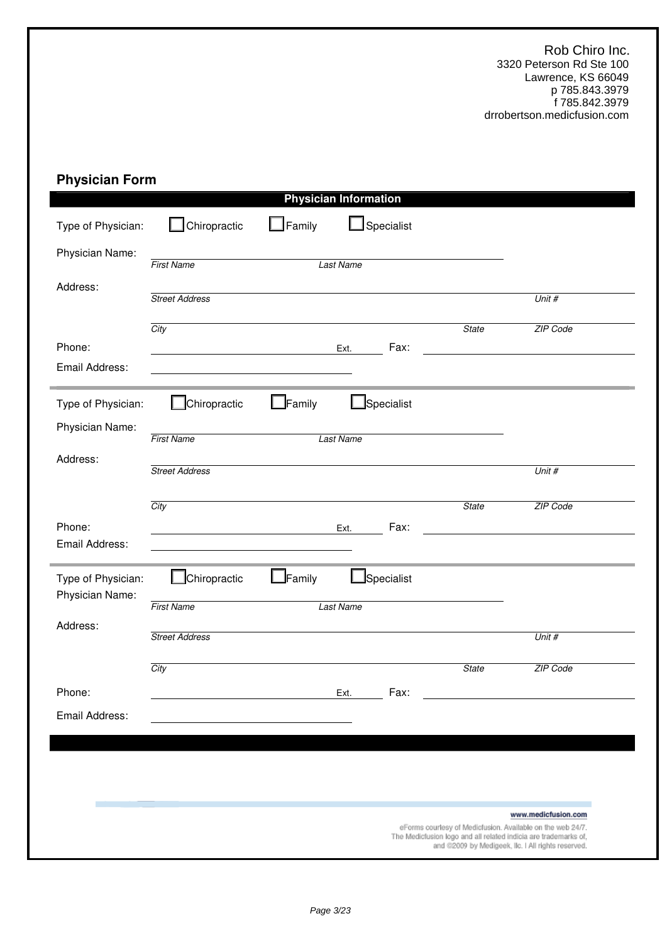# **Physician Form**

| $\Box$ Family<br>$\mathsf{\mathsf{\_}}$ Specialist<br>Chiropractic<br><b>First Name</b><br><b>Last Name</b><br><b>Street Address</b><br>Unit #<br>City<br>ZIP Code<br><b>State</b><br>Fax:<br>Ext.<br>$\mathsf{\mathsf{\underline{J}}}$ Specialist<br>Chiropractic<br>$\mathsf{\mathsf{\underline{J}}}$ Family<br><b>First Name</b><br><b>Last Name</b><br><b>Street Address</b><br>Unit #<br>City<br>ZIP Code<br><b>State</b><br>Fax:<br>Ext.<br>Specialist<br>Chiropractic<br>$\Box$ Family<br>Type of Physician:<br>Physician Name:<br><b>First Name</b><br><b>Last Name</b><br>Address:<br><b>Street Address</b><br>Unit #<br>City<br>ZIP Code<br><b>State</b><br>Fax:<br>Ext. |                          |  | <b>Physician Information</b> |                                                                                                                                                                                     |
|------------------------------------------------------------------------------------------------------------------------------------------------------------------------------------------------------------------------------------------------------------------------------------------------------------------------------------------------------------------------------------------------------------------------------------------------------------------------------------------------------------------------------------------------------------------------------------------------------------------------------------------------------------------------------------|--------------------------|--|------------------------------|-------------------------------------------------------------------------------------------------------------------------------------------------------------------------------------|
|                                                                                                                                                                                                                                                                                                                                                                                                                                                                                                                                                                                                                                                                                    | Type of Physician:       |  |                              |                                                                                                                                                                                     |
|                                                                                                                                                                                                                                                                                                                                                                                                                                                                                                                                                                                                                                                                                    | Physician Name:          |  |                              |                                                                                                                                                                                     |
|                                                                                                                                                                                                                                                                                                                                                                                                                                                                                                                                                                                                                                                                                    | Address:                 |  |                              |                                                                                                                                                                                     |
|                                                                                                                                                                                                                                                                                                                                                                                                                                                                                                                                                                                                                                                                                    |                          |  |                              |                                                                                                                                                                                     |
|                                                                                                                                                                                                                                                                                                                                                                                                                                                                                                                                                                                                                                                                                    | Phone:<br>Email Address: |  |                              |                                                                                                                                                                                     |
|                                                                                                                                                                                                                                                                                                                                                                                                                                                                                                                                                                                                                                                                                    | Type of Physician:       |  |                              |                                                                                                                                                                                     |
|                                                                                                                                                                                                                                                                                                                                                                                                                                                                                                                                                                                                                                                                                    | Physician Name:          |  |                              |                                                                                                                                                                                     |
|                                                                                                                                                                                                                                                                                                                                                                                                                                                                                                                                                                                                                                                                                    | Address:                 |  |                              |                                                                                                                                                                                     |
|                                                                                                                                                                                                                                                                                                                                                                                                                                                                                                                                                                                                                                                                                    |                          |  |                              |                                                                                                                                                                                     |
|                                                                                                                                                                                                                                                                                                                                                                                                                                                                                                                                                                                                                                                                                    | Phone:<br>Email Address: |  |                              |                                                                                                                                                                                     |
|                                                                                                                                                                                                                                                                                                                                                                                                                                                                                                                                                                                                                                                                                    |                          |  |                              |                                                                                                                                                                                     |
|                                                                                                                                                                                                                                                                                                                                                                                                                                                                                                                                                                                                                                                                                    |                          |  |                              |                                                                                                                                                                                     |
|                                                                                                                                                                                                                                                                                                                                                                                                                                                                                                                                                                                                                                                                                    |                          |  |                              |                                                                                                                                                                                     |
|                                                                                                                                                                                                                                                                                                                                                                                                                                                                                                                                                                                                                                                                                    |                          |  |                              |                                                                                                                                                                                     |
|                                                                                                                                                                                                                                                                                                                                                                                                                                                                                                                                                                                                                                                                                    | Phone:                   |  |                              |                                                                                                                                                                                     |
|                                                                                                                                                                                                                                                                                                                                                                                                                                                                                                                                                                                                                                                                                    | Email Address:           |  |                              |                                                                                                                                                                                     |
|                                                                                                                                                                                                                                                                                                                                                                                                                                                                                                                                                                                                                                                                                    |                          |  |                              |                                                                                                                                                                                     |
|                                                                                                                                                                                                                                                                                                                                                                                                                                                                                                                                                                                                                                                                                    |                          |  |                              |                                                                                                                                                                                     |
| www.medicfusion.com                                                                                                                                                                                                                                                                                                                                                                                                                                                                                                                                                                                                                                                                |                          |  |                              | eForms courtesy of Medicfusion. Available on the web 24/7.<br>The Medicfusion logo and all related indicia are trademarks of,<br>and @2009 by Medigeek, Ilc. I All rights reserved. |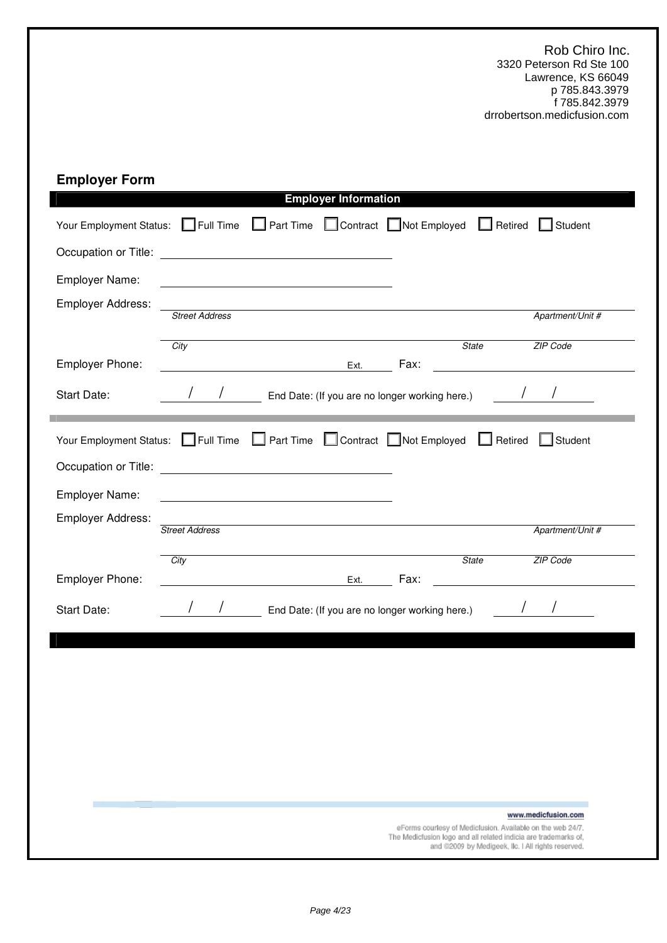# **Employer Form**

|                                                                           |                       |                                                                                                                       | <b>Employer Information</b> |                                                                 |                                                    |                                                                                                                                  |
|---------------------------------------------------------------------------|-----------------------|-----------------------------------------------------------------------------------------------------------------------|-----------------------------|-----------------------------------------------------------------|----------------------------------------------------|----------------------------------------------------------------------------------------------------------------------------------|
| Your Employment Status: Full Time Part Time Contract Not Employed Retired |                       |                                                                                                                       |                             |                                                                 |                                                    | Student                                                                                                                          |
|                                                                           |                       |                                                                                                                       |                             |                                                                 |                                                    |                                                                                                                                  |
| Employer Name:                                                            |                       |                                                                                                                       |                             |                                                                 |                                                    |                                                                                                                                  |
| Employer Address:                                                         | <b>Street Address</b> |                                                                                                                       |                             |                                                                 |                                                    | Apartment/Unit #                                                                                                                 |
| Employer Phone:                                                           | City                  |                                                                                                                       | Ext.                        | Fax:                                                            | <b>State</b>                                       | ZIP Code<br><u> 1989 - John Stein, mars and de Britain and de Britain and de Britain and de Britain and de Britain and de Br</u> |
| Start Date:                                                               |                       |                                                                                                                       |                             | End Date: (If you are no longer working here.)                  |                                                    |                                                                                                                                  |
| Your Employment Status: Full Time Part Time Contract Not Employed         |                       |                                                                                                                       |                             |                                                                 | $\Box$ Retired                                     | $\Box$ Student                                                                                                                   |
|                                                                           |                       |                                                                                                                       |                             |                                                                 |                                                    |                                                                                                                                  |
| Employer Name:                                                            |                       |                                                                                                                       |                             |                                                                 |                                                    |                                                                                                                                  |
| Employer Address:                                                         | <b>Street Address</b> |                                                                                                                       |                             |                                                                 |                                                    | Apartment/Unit #                                                                                                                 |
|                                                                           | City                  |                                                                                                                       |                             |                                                                 | <b>State</b>                                       | ZIP Code                                                                                                                         |
| Employer Phone:                                                           |                       | <u> 1989 - John Stein, september 1989 - Stein Stein Stein Stein Stein Stein Stein Stein Stein Stein Stein Stein S</u> | Ext.                        | Fax:                                                            |                                                    |                                                                                                                                  |
| Start Date:                                                               |                       |                                                                                                                       |                             | End Date: (If you are no longer working here.)                  |                                                    |                                                                                                                                  |
|                                                                           |                       |                                                                                                                       |                             |                                                                 |                                                    |                                                                                                                                  |
|                                                                           |                       |                                                                                                                       |                             |                                                                 |                                                    |                                                                                                                                  |
|                                                                           |                       |                                                                                                                       |                             |                                                                 |                                                    |                                                                                                                                  |
|                                                                           |                       |                                                                                                                       |                             |                                                                 |                                                    |                                                                                                                                  |
|                                                                           |                       |                                                                                                                       |                             |                                                                 |                                                    |                                                                                                                                  |
|                                                                           |                       |                                                                                                                       |                             |                                                                 |                                                    |                                                                                                                                  |
|                                                                           |                       |                                                                                                                       |                             |                                                                 |                                                    |                                                                                                                                  |
|                                                                           |                       |                                                                                                                       |                             | eForms courtesy of Medicfusion. Available on the web 24/7.      |                                                    | www.medicfusion.com                                                                                                              |
|                                                                           |                       |                                                                                                                       |                             | The Medicfusion logo and all related indicia are trademarks of, | and @2009 by Medigeek, Ilc. I All rights reserved. |                                                                                                                                  |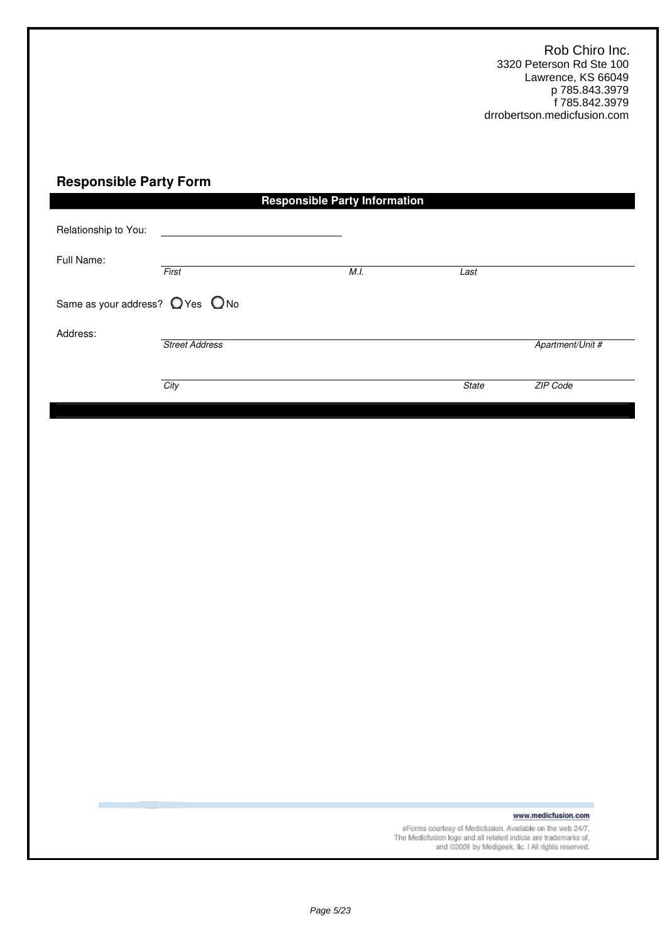## **Responsible Party Form**

|                                                    |                       | <b>Responsible Party Information</b> |              |                  |
|----------------------------------------------------|-----------------------|--------------------------------------|--------------|------------------|
| Relationship to You:<br>Full Name:                 | First                 | M.I.                                 | Last         |                  |
| Same as your address? $\bigcirc$ Yes $\bigcirc$ No |                       |                                      |              |                  |
| Address:                                           | <b>Street Address</b> |                                      |              | Apartment/Unit # |
|                                                    | City                  |                                      | <b>State</b> | ZIP Code         |

www.medicfusion.com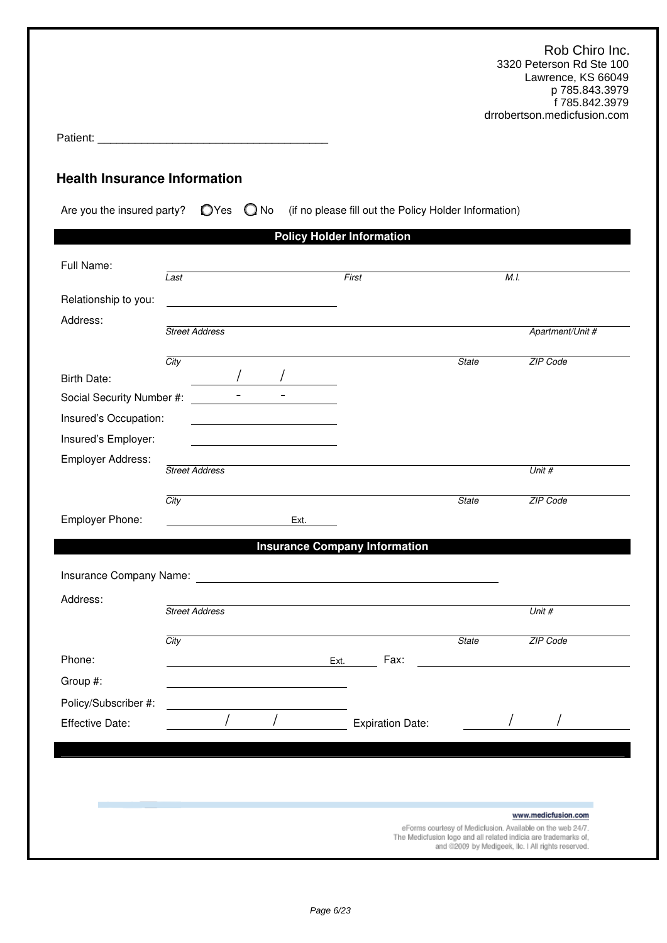|                                                                                                               |                       |      |                                  |                                      |              | Rob Chiro Inc.<br>3320 Peterson Rd Ste 100<br>Lawrence, KS 66049<br>p 785.843.3979<br>f 785.842.3979<br>drrobertson.medicfusion.com                                                 |
|---------------------------------------------------------------------------------------------------------------|-----------------------|------|----------------------------------|--------------------------------------|--------------|-------------------------------------------------------------------------------------------------------------------------------------------------------------------------------------|
| <b>Health Insurance Information</b>                                                                           |                       |      |                                  |                                      |              |                                                                                                                                                                                     |
| Are you the insured party? $\bigcirc$ Yes $\bigcirc$ No (if no please fill out the Policy Holder Information) |                       |      | <b>Policy Holder Information</b> |                                      |              |                                                                                                                                                                                     |
| Full Name:                                                                                                    |                       |      |                                  |                                      |              |                                                                                                                                                                                     |
|                                                                                                               | Last                  |      | First                            |                                      |              | M.I.                                                                                                                                                                                |
| Relationship to you:<br>Address:                                                                              |                       |      |                                  |                                      |              |                                                                                                                                                                                     |
|                                                                                                               | <b>Street Address</b> |      |                                  |                                      |              | Apartment/Unit #                                                                                                                                                                    |
|                                                                                                               | City                  |      |                                  |                                      | <b>State</b> | ZIP Code                                                                                                                                                                            |
| <b>Birth Date:</b>                                                                                            |                       |      |                                  |                                      |              |                                                                                                                                                                                     |
| Social Security Number #:                                                                                     |                       |      |                                  |                                      |              |                                                                                                                                                                                     |
| Insured's Occupation:                                                                                         |                       |      |                                  |                                      |              |                                                                                                                                                                                     |
| Insured's Employer:                                                                                           |                       |      |                                  |                                      |              |                                                                                                                                                                                     |
| Employer Address:                                                                                             | <b>Street Address</b> |      |                                  |                                      |              | Unit #                                                                                                                                                                              |
|                                                                                                               | City                  |      |                                  |                                      | <b>State</b> | <b>ZIP Code</b>                                                                                                                                                                     |
| Employer Phone:                                                                                               |                       | Ext. |                                  |                                      |              |                                                                                                                                                                                     |
|                                                                                                               |                       |      |                                  | <b>Insurance Company Information</b> |              |                                                                                                                                                                                     |
|                                                                                                               |                       |      |                                  |                                      |              |                                                                                                                                                                                     |
|                                                                                                               |                       |      |                                  |                                      |              |                                                                                                                                                                                     |
| Address:                                                                                                      | <b>Street Address</b> |      |                                  |                                      |              | Unit #                                                                                                                                                                              |
|                                                                                                               |                       |      |                                  |                                      |              |                                                                                                                                                                                     |
| Phone:                                                                                                        | City                  |      | Ext.                             | Fax:                                 | <b>State</b> | ZIP Code                                                                                                                                                                            |
| Group #:                                                                                                      |                       |      |                                  |                                      |              |                                                                                                                                                                                     |
| Policy/Subscriber #:                                                                                          |                       |      |                                  |                                      |              |                                                                                                                                                                                     |
| <b>Effective Date:</b>                                                                                        |                       |      |                                  | <b>Expiration Date:</b>              |              |                                                                                                                                                                                     |
|                                                                                                               |                       |      |                                  |                                      |              |                                                                                                                                                                                     |
|                                                                                                               |                       |      |                                  |                                      |              |                                                                                                                                                                                     |
|                                                                                                               |                       |      |                                  |                                      |              |                                                                                                                                                                                     |
|                                                                                                               |                       |      |                                  |                                      |              | www.medicfusion.com                                                                                                                                                                 |
|                                                                                                               |                       |      |                                  |                                      |              | eForms courtesy of Medicfusion. Available on the web 24/7.<br>The Medicfusion logo and all related indicia are trademarks of,<br>and @2009 by Medigeek, Ilc. I All rights reserved. |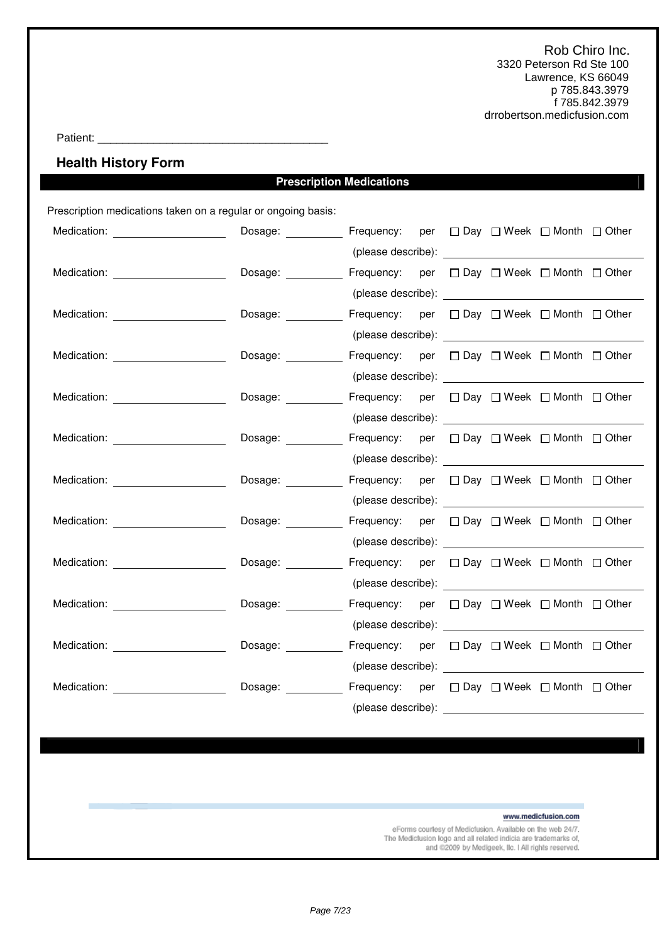Patient: \_\_\_\_\_\_\_\_\_\_\_\_\_\_\_\_\_\_\_\_\_\_\_\_\_\_\_\_\_\_\_\_\_\_\_\_\_

**Health History Form** 

## **Prescription Medications**

Prescription medications taken on a regular or ongoing basis:

| Medication: ______________________                                                                                                                                                                                             | Dosage: ___________ Frequency: per □ Day □ Week □ Month □ Other |                                                                                                                                                                                                                                      |  |  |  |
|--------------------------------------------------------------------------------------------------------------------------------------------------------------------------------------------------------------------------------|-----------------------------------------------------------------|--------------------------------------------------------------------------------------------------------------------------------------------------------------------------------------------------------------------------------------|--|--|--|
|                                                                                                                                                                                                                                |                                                                 |                                                                                                                                                                                                                                      |  |  |  |
| Medication: _____________________                                                                                                                                                                                              | Dosage: <u>__________</u>                                       | Frequency: per □ Day □ Week □ Month □ Other                                                                                                                                                                                          |  |  |  |
|                                                                                                                                                                                                                                |                                                                 |                                                                                                                                                                                                                                      |  |  |  |
| Medication: New York Products and American Control of the American Control of the American Control of the American Control of the American Control of the American Control of the American Control of the American Control of  | Dosage: Frequency: per □ Day □ Week □ Month □ Other             |                                                                                                                                                                                                                                      |  |  |  |
|                                                                                                                                                                                                                                |                                                                 |                                                                                                                                                                                                                                      |  |  |  |
| Medication: New York Products and Products and Products and Products and Products and Products and Products and Pro                                                                                                            | Dosage: ___________ Frequency: per □ Day □ Week □ Month □ Other |                                                                                                                                                                                                                                      |  |  |  |
|                                                                                                                                                                                                                                |                                                                 |                                                                                                                                                                                                                                      |  |  |  |
| Medication: _______________________                                                                                                                                                                                            | Dosage: ___________ Frequency: per □ Day □ Week □ Month □ Other |                                                                                                                                                                                                                                      |  |  |  |
|                                                                                                                                                                                                                                |                                                                 |                                                                                                                                                                                                                                      |  |  |  |
| Medication: Website and Security and Security and Security and Security and Security and Security and Security and Security and Security and Security and Security and Security and Security and Security and Security and Sec | Dosage: Frequency: per □ Day □ Week □ Month □ Other             |                                                                                                                                                                                                                                      |  |  |  |
|                                                                                                                                                                                                                                |                                                                 | (please describe): <u>contract and the set of the set of the set of the set of the set of the set of the set of the set of the set of the set of the set of the set of the set of the set of the set of the set of the set of th</u> |  |  |  |
| Medication: <b>Example 2019</b>                                                                                                                                                                                                | Dosage: ___________ Frequency: per □ Day □ Week □ Month □ Other |                                                                                                                                                                                                                                      |  |  |  |
|                                                                                                                                                                                                                                |                                                                 |                                                                                                                                                                                                                                      |  |  |  |
| Medication: ________________________                                                                                                                                                                                           | Dosage: Frequency: per □ Day □ Week □ Month □ Other             |                                                                                                                                                                                                                                      |  |  |  |
|                                                                                                                                                                                                                                |                                                                 |                                                                                                                                                                                                                                      |  |  |  |
| Medication: Website and Security and Security and Security and Security and Security and Security and Security and Security and Security and Security and Security and Security and Security and Security and Security and Sec | Dosage:                                                         | Frequency: per □ Day □ Week □ Month □ Other                                                                                                                                                                                          |  |  |  |
|                                                                                                                                                                                                                                |                                                                 |                                                                                                                                                                                                                                      |  |  |  |
| Medication: ______________________                                                                                                                                                                                             | Dosage: ___________ Frequency: per □ Day □ Week □ Month □ Other |                                                                                                                                                                                                                                      |  |  |  |
|                                                                                                                                                                                                                                |                                                                 |                                                                                                                                                                                                                                      |  |  |  |
| Medication: New York Products and American Control of the American Control of the American Control of the American Control of the American Control of the American Control of the American Control of the American Control of  | Dosage: ___________ Frequency: per □ Day □ Week □ Month □ Other |                                                                                                                                                                                                                                      |  |  |  |
|                                                                                                                                                                                                                                |                                                                 |                                                                                                                                                                                                                                      |  |  |  |
| Medication: New York Production of the Medication of the Medication of the Medication of the Medication of the Medication of the Medication of the Medication of the Medication of the Medication of the Medication of the Med | Dosage: Frequency: per □ Day □ Week □ Month □ Other             |                                                                                                                                                                                                                                      |  |  |  |
|                                                                                                                                                                                                                                |                                                                 | (please describe):                                                                                                                                                                                                                   |  |  |  |

www.medicfusion.com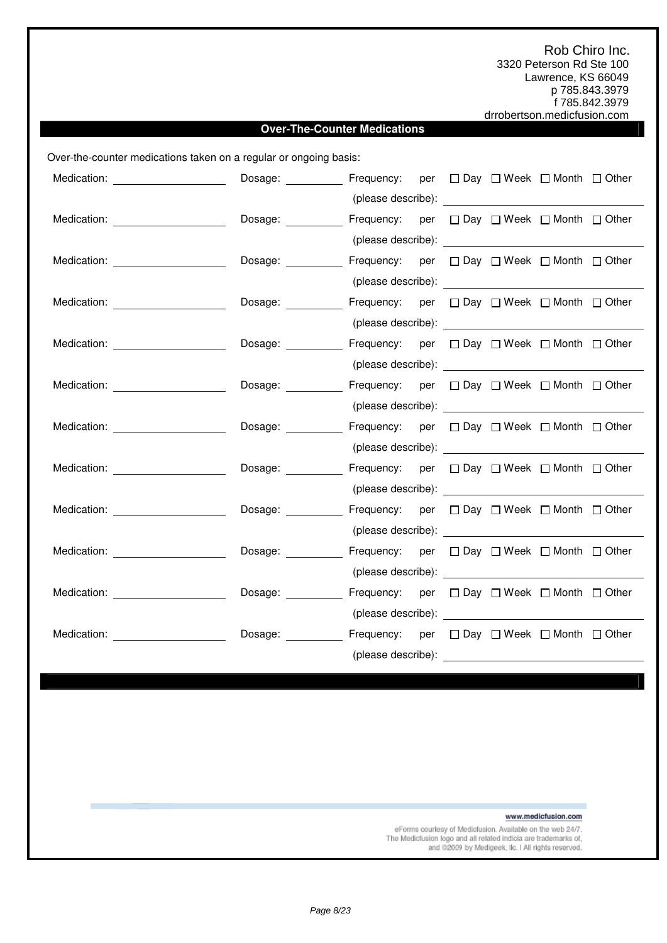### **Over-The-Counter Medications**

Over-the-counter medications taken on a regular or ongoing basis:

| Medication: New York Changes and Medication:                                                                                                                                                                                   | Dosage: Frequency: per □ Day □ Week □ Month □ Other             |                                                                                                                                                                                                                                      |  |  |  |
|--------------------------------------------------------------------------------------------------------------------------------------------------------------------------------------------------------------------------------|-----------------------------------------------------------------|--------------------------------------------------------------------------------------------------------------------------------------------------------------------------------------------------------------------------------------|--|--|--|
|                                                                                                                                                                                                                                |                                                                 |                                                                                                                                                                                                                                      |  |  |  |
| Medication: ______________________                                                                                                                                                                                             | Dosage:                                                         | Frequency: per $\Box$ Day $\Box$ Week $\Box$ Month $\Box$ Other                                                                                                                                                                      |  |  |  |
|                                                                                                                                                                                                                                |                                                                 |                                                                                                                                                                                                                                      |  |  |  |
| Medication: New York Discovery Medication:                                                                                                                                                                                     | Dosage: ___________ Frequency: per □ Day □ Week □ Month □ Other |                                                                                                                                                                                                                                      |  |  |  |
|                                                                                                                                                                                                                                |                                                                 |                                                                                                                                                                                                                                      |  |  |  |
| Medication: ______________________                                                                                                                                                                                             | Dosage: ___________ Frequency: per □ Day □ Week □ Month □ Other |                                                                                                                                                                                                                                      |  |  |  |
|                                                                                                                                                                                                                                |                                                                 |                                                                                                                                                                                                                                      |  |  |  |
| Medication: ______________________                                                                                                                                                                                             | Dosage: Frequency: per □ Day □ Week □ Month □ Other             |                                                                                                                                                                                                                                      |  |  |  |
|                                                                                                                                                                                                                                |                                                                 |                                                                                                                                                                                                                                      |  |  |  |
| Medication: Website and Security and Security and Security and Security and Security and Security and Security and Security and Security and Security and Security and Security and Security and Security and Security and Sec | Dosage: Frequency: per □ Day □ Week □ Month □ Other             |                                                                                                                                                                                                                                      |  |  |  |
|                                                                                                                                                                                                                                |                                                                 |                                                                                                                                                                                                                                      |  |  |  |
| Medication: Website and Security and Security and Security and Security and Security and Security and Security and Security and Security and Security and Security and Security and Security and Security and Security and Sec | Dosage: Frequency: per □ Day □ Week □ Month □ Other             |                                                                                                                                                                                                                                      |  |  |  |
|                                                                                                                                                                                                                                |                                                                 |                                                                                                                                                                                                                                      |  |  |  |
| Medication: ______________________                                                                                                                                                                                             | Dosage: ___________ Frequency: per □ Day □ Week □ Month □ Other |                                                                                                                                                                                                                                      |  |  |  |
|                                                                                                                                                                                                                                |                                                                 | (please describe): expression of the set of the set of the set of the set of the set of the set of the set of the set of the set of the set of the set of the set of the set of the set of the set of the set of the set of th       |  |  |  |
| Medication: ______________________                                                                                                                                                                                             | Dosage: ___________ Frequency: per □ Day □ Week □ Month □ Other |                                                                                                                                                                                                                                      |  |  |  |
|                                                                                                                                                                                                                                |                                                                 |                                                                                                                                                                                                                                      |  |  |  |
| Medication: Network and Medication:                                                                                                                                                                                            | Dosage: <u>___________</u>                                      | Frequency: per □ Day □ Week □ Month □ Other                                                                                                                                                                                          |  |  |  |
|                                                                                                                                                                                                                                |                                                                 | (please describe): <u>example and the set of the set of the set of the set of the set of the set of the set of the set of the set of the set of the set of the set of the set of the set of the set of the set of the set of the</u> |  |  |  |
| Medication: New York Products and Products and Products and Products and Products and Products and Products and Products and Products and Products and Products and Products and Products and Products and Products and Produc | Dosage: Frequency: per □ Day □ Week □ Month □ Other             |                                                                                                                                                                                                                                      |  |  |  |
|                                                                                                                                                                                                                                |                                                                 |                                                                                                                                                                                                                                      |  |  |  |
| Medication: New York Products and Products and Products and Products and Products and Products and Products and Products and Products and Products and Products and Products and Products and Products and Products and Produc | Dosage: Frequency: per □ Day □ Week □ Month □ Other             |                                                                                                                                                                                                                                      |  |  |  |
|                                                                                                                                                                                                                                |                                                                 |                                                                                                                                                                                                                                      |  |  |  |

www.medicfusion.com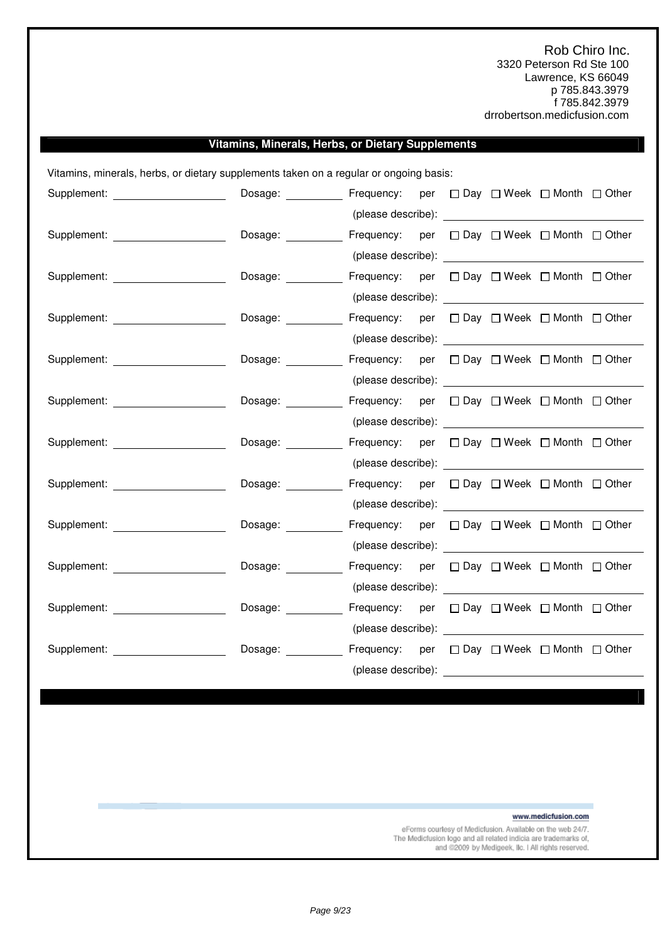### **Vitamins, Minerals, Herbs, or Dietary Supplements**

Vitamins, minerals, herbs, or dietary supplements taken on a regular or ongoing basis:

| Supplement: _____________________                                                                                                                                                                                              | Dosage:                             | Frequency: per □ Day □ Week □ Month □ Other                                                                                                                                                                                    |  |  |  |
|--------------------------------------------------------------------------------------------------------------------------------------------------------------------------------------------------------------------------------|-------------------------------------|--------------------------------------------------------------------------------------------------------------------------------------------------------------------------------------------------------------------------------|--|--|--|
|                                                                                                                                                                                                                                |                                     |                                                                                                                                                                                                                                |  |  |  |
| Supplement: ____________________                                                                                                                                                                                               | Dosage: __________                  | Frequency: per □ Day □ Week □ Month □ Other                                                                                                                                                                                    |  |  |  |
|                                                                                                                                                                                                                                |                                     |                                                                                                                                                                                                                                |  |  |  |
| Supplement: The contract of the contract of the contract of the contract of the contract of the contract of the contract of the contract of the contract of the contract of the contract of the contract of the contract of th | Dosage:                             | Frequency: per □ Day □ Week □ Month □ Other                                                                                                                                                                                    |  |  |  |
|                                                                                                                                                                                                                                |                                     |                                                                                                                                                                                                                                |  |  |  |
| Supplement: _____________________                                                                                                                                                                                              | Dosage:                             | Frequency: per □ Day □ Week □ Month □ Other                                                                                                                                                                                    |  |  |  |
|                                                                                                                                                                                                                                |                                     |                                                                                                                                                                                                                                |  |  |  |
| Supplement: ____________________                                                                                                                                                                                               | Dosage:                             | Frequency: per □ Day □ Week □ Month □ Other                                                                                                                                                                                    |  |  |  |
|                                                                                                                                                                                                                                |                                     |                                                                                                                                                                                                                                |  |  |  |
| Supplement: ______________________                                                                                                                                                                                             | Dosage: <b>contract of the COST</b> | Frequency: per □ Day □ Week □ Month □ Other                                                                                                                                                                                    |  |  |  |
|                                                                                                                                                                                                                                |                                     |                                                                                                                                                                                                                                |  |  |  |
| Supplement: ______________________                                                                                                                                                                                             | Dosage: <u>__________</u>           | Frequency: per □ Day □ Week □ Month □ Other                                                                                                                                                                                    |  |  |  |
|                                                                                                                                                                                                                                |                                     |                                                                                                                                                                                                                                |  |  |  |
| Supplement: The contract of the contract of the contract of the contract of the contract of the contract of the contract of the contract of the contract of the contract of the contract of the contract of the contract of th | Dosage:                             | Frequency: per □ Day □ Week □ Month □ Other                                                                                                                                                                                    |  |  |  |
|                                                                                                                                                                                                                                |                                     |                                                                                                                                                                                                                                |  |  |  |
| Supplement: _____________________                                                                                                                                                                                              | Dosage:                             | Frequency: per $\Box$ Day $\Box$ Week $\Box$ Month $\Box$ Other                                                                                                                                                                |  |  |  |
|                                                                                                                                                                                                                                |                                     |                                                                                                                                                                                                                                |  |  |  |
| Supplement: _____________________                                                                                                                                                                                              | Dosage:                             | Frequency: per □ Day □ Week □ Month □ Other                                                                                                                                                                                    |  |  |  |
|                                                                                                                                                                                                                                |                                     |                                                                                                                                                                                                                                |  |  |  |
| Supplement: _______________________                                                                                                                                                                                            | Dosage: __________                  | Frequency: per $\Box$ Day $\Box$ Week $\Box$ Month $\Box$ Other                                                                                                                                                                |  |  |  |
|                                                                                                                                                                                                                                |                                     | (please describe): expression of the set of the set of the set of the set of the set of the set of the set of the set of the set of the set of the set of the set of the set of the set of the set of the set of the set of th |  |  |  |
|                                                                                                                                                                                                                                | Dosage:                             | Frequency: per $\Box$ Day $\Box$ Week $\Box$ Month $\Box$ Other                                                                                                                                                                |  |  |  |
|                                                                                                                                                                                                                                |                                     | (please describe): example and the set of the set of the set of the set of the set of the set of the set of the set of the set of the set of the set of the set of the set of the set of the set of the set of the set of the  |  |  |  |

www.medicfusion.com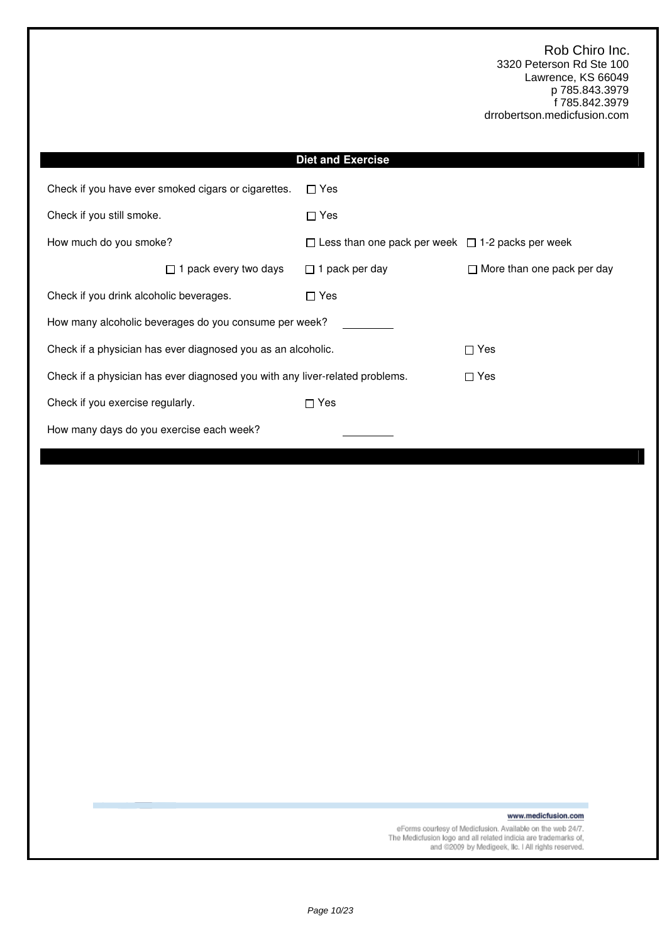|                                                                              | <b>Diet and Exercise</b>                                     |                                   |  |  |  |
|------------------------------------------------------------------------------|--------------------------------------------------------------|-----------------------------------|--|--|--|
| Check if you have ever smoked cigars or cigarettes.<br>$\Box$ Yes            |                                                              |                                   |  |  |  |
| Check if you still smoke.                                                    | $\Box$ Yes                                                   |                                   |  |  |  |
| How much do you smoke?                                                       | $\Box$ Less than one pack per week $\Box$ 1-2 packs per week |                                   |  |  |  |
| $\Box$ 1 pack every two days                                                 | $\Box$ 1 pack per day                                        | $\Box$ More than one pack per day |  |  |  |
| Check if you drink alcoholic beverages.                                      | $\Box$ Yes                                                   |                                   |  |  |  |
| How many alcoholic beverages do you consume per week?                        |                                                              |                                   |  |  |  |
| Check if a physician has ever diagnosed you as an alcoholic.                 |                                                              | $\Box$ Yes                        |  |  |  |
| Check if a physician has ever diagnosed you with any liver-related problems. |                                                              | $\Box$ Yes                        |  |  |  |
| Check if you exercise regularly.<br>$\Box$ Yes                               |                                                              |                                   |  |  |  |
| How many days do you exercise each week?                                     |                                                              |                                   |  |  |  |

www.medicfusion.com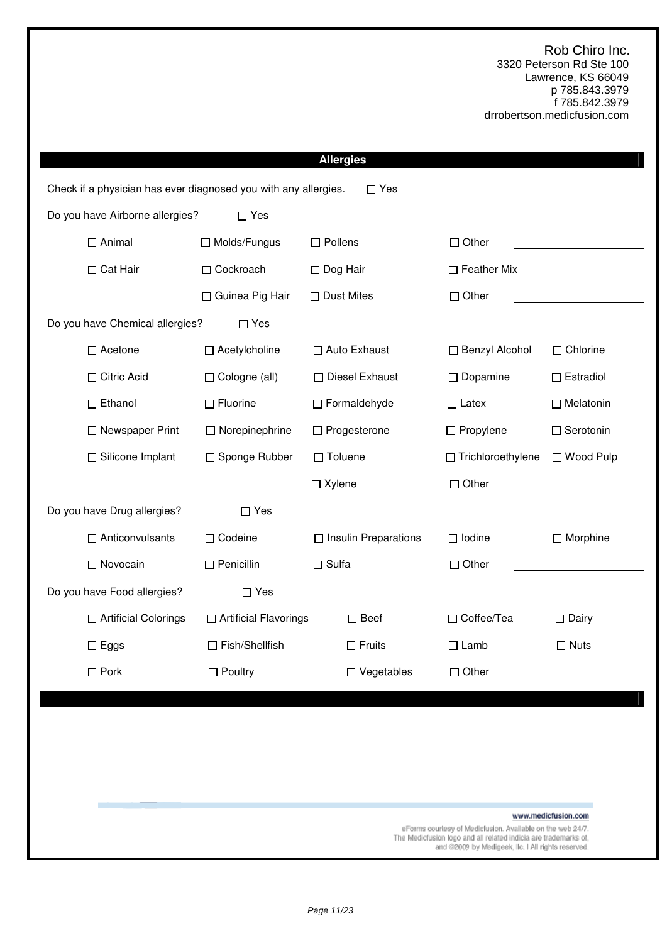|                                 |                                                                 | <b>Allergies</b>            |                     |                     |
|---------------------------------|-----------------------------------------------------------------|-----------------------------|---------------------|---------------------|
|                                 | Check if a physician has ever diagnosed you with any allergies. | $\Box$ Yes                  |                     |                     |
| Do you have Airborne allergies? | $\Box$ Yes                                                      |                             |                     |                     |
| $\Box$ Animal                   | □ Molds/Fungus                                                  | $\Box$ Pollens              | $\Box$ Other        |                     |
| □ Cat Hair                      | □ Cockroach                                                     | □ Dog Hair                  | $\Box$ Feather Mix  |                     |
|                                 | □ Guinea Pig Hair                                               | $\Box$ Dust Mites           | $\Box$ Other        |                     |
| Do you have Chemical allergies? | $\Box$ Yes                                                      |                             |                     |                     |
| $\Box$ Acetone                  | □ Acetylcholine                                                 | □ Auto Exhaust              | □ Benzyl Alcohol    | $\Box$ Chlorine     |
| □ Citric Acid                   | □ Cologne (all)                                                 | □ Diesel Exhaust            | $\Box$ Dopamine     | $\Box$ Estradiol    |
| $\square$ Ethanol               | $\Box$ Fluorine                                                 | □ Formaldehyde              | $\Box$ Latex        | $\Box$ Melatonin    |
| □ Newspaper Print               | $\Box$ Norepinephrine                                           | □ Progesterone              | $\Box$ Propylene    | □ Serotonin         |
| □ Silicone Implant              | □ Sponge Rubber                                                 | $\Box$ Toluene              | □ Trichloroethylene | □ Wood Pulp         |
|                                 |                                                                 | $\Box$ Xylene               | $\Box$ Other        |                     |
| Do you have Drug allergies?     | $\Box$ Yes                                                      |                             |                     |                     |
| $\Box$ Anticonvulsants          | □ Codeine                                                       | $\Box$ Insulin Preparations | $\Box$ Iodine       | $\Box$ Morphine     |
| □ Novocain                      | $\Box$ Penicillin                                               | $\Box$ Sulfa                | $\Box$ Other        |                     |
| Do you have Food allergies?     | $\Box$ Yes                                                      |                             |                     |                     |
| □ Artificial Colorings          | □ Artificial Flavorings                                         | $\square$ Beef              | □ Coffee/Tea        | $\Box$ Dairy        |
| $\Box$ Eggs                     | □ Fish/Shellfish                                                | $\Box$ Fruits               | $\Box$ Lamb         | $\Box$ Nuts         |
| $\Box$ Pork                     | $\Box$ Poultry                                                  | $\Box$ Vegetables           | $\Box$ Other        |                     |
|                                 |                                                                 |                             |                     |                     |
|                                 |                                                                 |                             |                     |                     |
|                                 |                                                                 |                             |                     |                     |
|                                 |                                                                 |                             |                     |                     |
|                                 |                                                                 |                             |                     | www.medicfusion.com |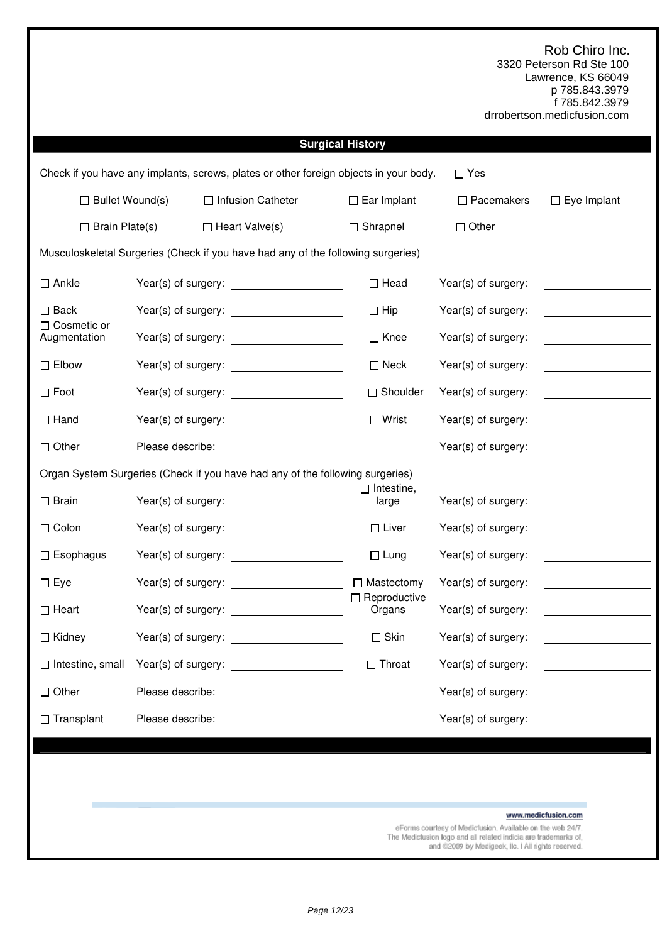|                                                                               |                     |                                                                                       | <b>Surgical History</b>       |                                                            |                                                                                                                                                                                                                                      |
|-------------------------------------------------------------------------------|---------------------|---------------------------------------------------------------------------------------|-------------------------------|------------------------------------------------------------|--------------------------------------------------------------------------------------------------------------------------------------------------------------------------------------------------------------------------------------|
|                                                                               |                     | Check if you have any implants, screws, plates or other foreign objects in your body. |                               | $\square$ Yes                                              |                                                                                                                                                                                                                                      |
| $\Box$ Bullet Wound(s)                                                        |                     | □ Infusion Catheter                                                                   | $\Box$ Ear Implant            | $\Box$ Pacemakers                                          | $\Box$ Eye Implant                                                                                                                                                                                                                   |
| $\Box$ Brain Plate(s)                                                         |                     | $\Box$ Heart Valve(s)                                                                 | $\Box$ Shrapnel               | $\Box$ Other                                               |                                                                                                                                                                                                                                      |
|                                                                               |                     | Musculoskeletal Surgeries (Check if you have had any of the following surgeries)      |                               |                                                            |                                                                                                                                                                                                                                      |
| $\Box$ Ankle                                                                  |                     |                                                                                       | $\Box$ Head                   | Year(s) of surgery:                                        | <u> 1970 - Jan Barat, prima politik (</u>                                                                                                                                                                                            |
| $\square$ Back                                                                |                     |                                                                                       | $\Box$ Hip                    | Year(s) of surgery:                                        |                                                                                                                                                                                                                                      |
| $\Box$ Cosmetic or<br>Augmentation                                            |                     |                                                                                       | $\Box$ Knee                   | Year(s) of surgery:                                        |                                                                                                                                                                                                                                      |
| $\square$ Elbow                                                               |                     |                                                                                       | $\Box$ Neck                   | Year(s) of surgery:                                        |                                                                                                                                                                                                                                      |
| $\square$ Foot                                                                |                     |                                                                                       | □ Shoulder                    | Year(s) of surgery:                                        |                                                                                                                                                                                                                                      |
| $\Box$ Hand                                                                   |                     |                                                                                       | $\Box$ Wrist                  | Year(s) of surgery:                                        |                                                                                                                                                                                                                                      |
| $\Box$ Other                                                                  | Please describe:    |                                                                                       |                               | Year(s) of surgery:                                        | <u> 1999 - Jan Barnett, politik e</u> ta p                                                                                                                                                                                           |
| Organ System Surgeries (Check if you have had any of the following surgeries) |                     |                                                                                       |                               |                                                            |                                                                                                                                                                                                                                      |
| $\square$ Brain                                                               |                     |                                                                                       | $\Box$ Intestine,<br>large    | Year(s) of surgery:                                        |                                                                                                                                                                                                                                      |
| $\Box$ Colon                                                                  |                     |                                                                                       | $\Box$ Liver                  | Year(s) of surgery:                                        | <u> 1989 - Jan Stein Stein Stein Stein Stein Stein Stein Stein Stein Stein Stein Stein Stein Stein Stein Stein Stein Stein Stein Stein Stein Stein Stein Stein Stein Stein Stein Stein Stein Stein Stein Stein Stein Stein Stein</u> |
| $\Box$ Esophagus                                                              |                     |                                                                                       | $\Box$ Lung                   | Year(s) of surgery:                                        | <u>and the state of the state of the state</u>                                                                                                                                                                                       |
| $\Box$ Eye                                                                    |                     |                                                                                       | □ Mastectomy                  | Year(s) of surgery:                                        |                                                                                                                                                                                                                                      |
| $\Box$ Heart                                                                  |                     |                                                                                       | $\Box$ Reproductive<br>Organs | Year(s) of surgery:                                        |                                                                                                                                                                                                                                      |
| $\Box$ Kidney                                                                 | Year(s) of surgery: |                                                                                       | $\square$ Skin                | Year(s) of surgery:                                        |                                                                                                                                                                                                                                      |
| $\Box$ Intestine, small                                                       | Year(s) of surgery: |                                                                                       | $\Box$ Throat                 | Year(s) of surgery:                                        |                                                                                                                                                                                                                                      |
| $\Box$ Other                                                                  | Please describe:    |                                                                                       |                               | Year(s) of surgery:                                        |                                                                                                                                                                                                                                      |
| $\Box$ Transplant                                                             | Please describe:    |                                                                                       |                               | Year(s) of surgery:                                        |                                                                                                                                                                                                                                      |
|                                                                               |                     |                                                                                       |                               |                                                            |                                                                                                                                                                                                                                      |
|                                                                               |                     |                                                                                       |                               |                                                            |                                                                                                                                                                                                                                      |
|                                                                               |                     |                                                                                       |                               |                                                            |                                                                                                                                                                                                                                      |
|                                                                               |                     |                                                                                       |                               | eForms courtesy of Medicfusion. Available on the web 24/7. | www.medicfusion.com                                                                                                                                                                                                                  |

The Mediciusion logo and all related indicia are trademarks of,<br>and @2009 by Medigeek, IIc. I All rights reserved.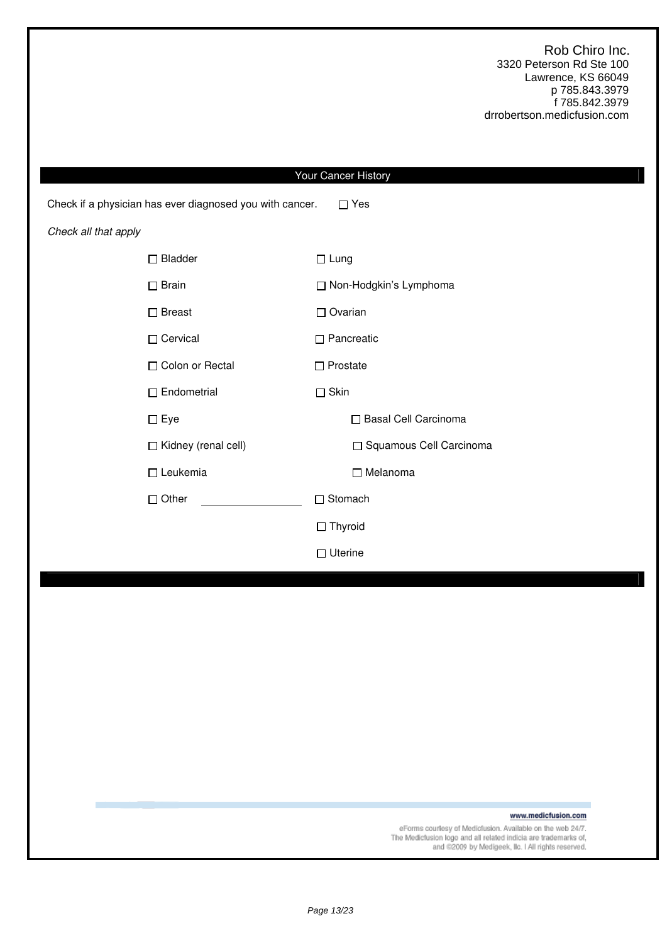|                                                          | Your Cancer History       |
|----------------------------------------------------------|---------------------------|
| Check if a physician has ever diagnosed you with cancer. | $\Box$ Yes                |
| Check all that apply                                     |                           |
| $\Box$ Bladder                                           | $\Box$ Lung               |
| $\Box$ Brain                                             | □ Non-Hodgkin's Lymphoma  |
| $\square$ Breast                                         | $\Box$ Ovarian            |
| □ Cervical                                               | $\Box$ Pancreatic         |
| □ Colon or Rectal                                        | $\Box$ Prostate           |
| $\Box$ Endometrial                                       | $\square$ Skin            |
| $\Box$ Eye                                               | □ Basal Cell Carcinoma    |
| □ Kidney (renal cell)                                    | □ Squamous Cell Carcinoma |
| $\Box$ Leukemia                                          | □ Melanoma                |
| $\Box$ Other                                             | □ Stomach                 |
|                                                          | $\Box$ Thyroid            |
|                                                          | $\Box$ Uterine            |
|                                                          |                           |
|                                                          |                           |
|                                                          |                           |

www.medicfusion.com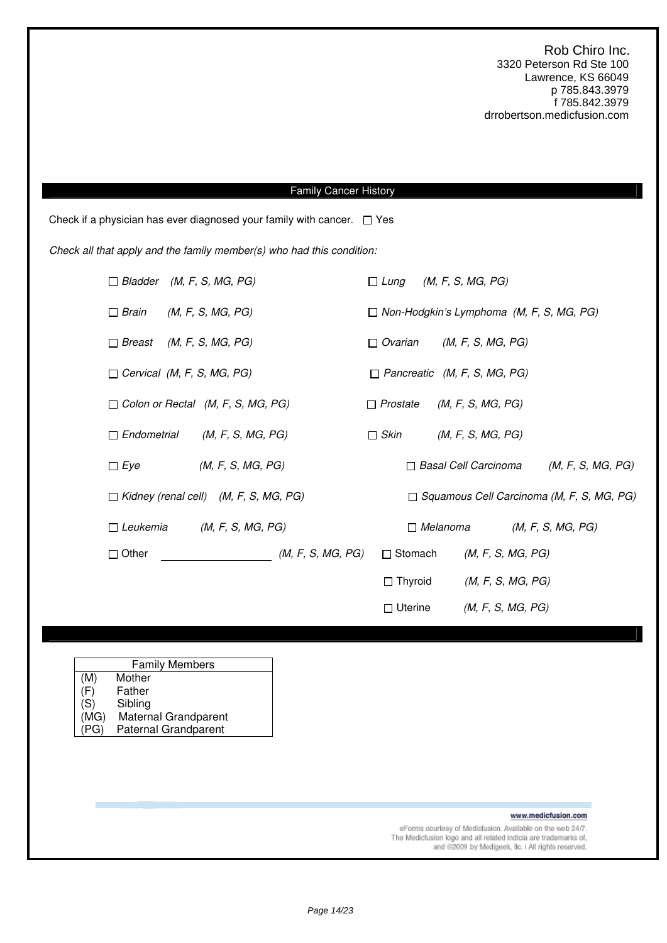### Family Cancer History

Check if a physician has ever diagnosed your family with cancer.  $\Box$  Yes

Check all that apply and the family member(s) who had this condition:

|                                   | $\Box$ Bladder (M, F, S, MG, PG)             |                   | $\Box$ Lung     |                 | (M, F, S, MG, PG)                               |                                                  |  |
|-----------------------------------|----------------------------------------------|-------------------|-----------------|-----------------|-------------------------------------------------|--------------------------------------------------|--|
| $\Box$ Brain                      | (M, F, S, MG, PG)                            |                   |                 |                 | $\Box$ Non-Hodgkin's Lymphoma (M, F, S, MG, PG) |                                                  |  |
| $\Box$ Breast                     | (M, F, S, MG, PG)                            |                   | $\Box$ Ovarian  |                 | (M, F, S, MG, PG)                               |                                                  |  |
| $\Box$ Cervical (M, F, S, MG, PG) |                                              |                   |                 |                 | $\Box$ Pancreatic (M, F, S, MG, PG)             |                                                  |  |
|                                   | $\Box$ Colon or Rectal (M, F, S, MG, PG)     |                   | $\Box$ Prostate |                 | (M, F, S, MG, PG)                               |                                                  |  |
| $\Box$ Endometrial                | (M, F, S, MG, PG)                            |                   | $\Box$ Skin     |                 | (M, F, S, MG, PG)                               |                                                  |  |
| $\Box$ Eye                        | (M, F, S, MG, PG)                            |                   |                 |                 | $\Box$ Basal Cell Carcinoma                     | (M, F, S, MG, PG)                                |  |
|                                   | $\Box$ Kidney (renal cell) (M, F, S, MG, PG) |                   |                 |                 |                                                 | $\Box$ Squamous Cell Carcinoma (M, F, S, MG, PG) |  |
| $\Box$ Leukemia                   | (M, F, S, MG, PG)                            |                   |                 | $\Box$ Melanoma |                                                 | (M, F, S, MG, PG)                                |  |
| $\Box$ Other                      |                                              | (M, F, S, MG, PG) | □ Stomach       |                 | (M, F, S, MG, PG)                               |                                                  |  |
|                                   |                                              |                   | $\Box$ Thyroid  |                 | (M, F, S, MG, PG)                               |                                                  |  |
|                                   |                                              |                   | $\Box$ Uterine  |                 | (M, F, S, MG, PG)                               |                                                  |  |

| <b>Family Members</b> |                             |  |  |  |
|-----------------------|-----------------------------|--|--|--|
| (M)                   | Mother                      |  |  |  |
| (F)                   | Father                      |  |  |  |
| (S)                   | Sibling                     |  |  |  |
| (MG)                  | Maternal Grandparent        |  |  |  |
| ንር ነ                  | <b>Paternal Grandparent</b> |  |  |  |

www.medicfusion.com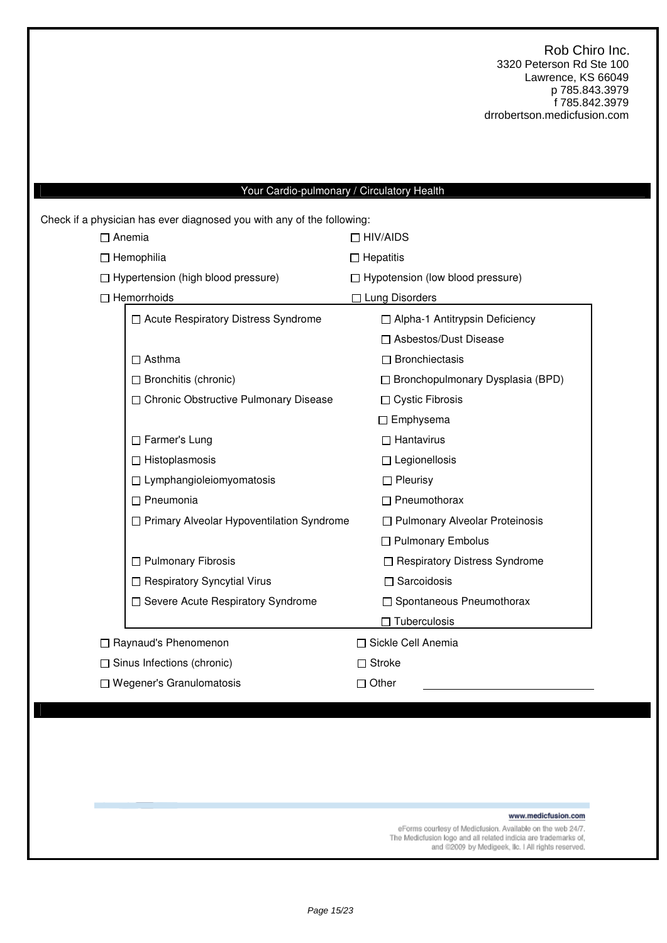## Your Cardio-pulmonary / Circulatory Health

| $\Box$ Anemia<br>$\Box$ HIV/AIDS<br>$\Box$ Hemophilia<br>$\Box$ Hepatitis<br>$\Box$ Hypertension (high blood pressure)<br>$\Box$ Hypotension (low blood pressure)<br>$\Box$ Hemorrhoids<br>$\Box$ Lung Disorders<br>□ Acute Respiratory Distress Syndrome<br>□ Alpha-1 Antitrypsin Deficiency<br>□ Asbestos/Dust Disease<br>$\Box$ Bronchiectasis<br>$\Box$ Asthma<br>$\Box$ Bronchitis (chronic)<br>□ Bronchopulmonary Dysplasia (BPD)<br>□ Chronic Obstructive Pulmonary Disease<br>□ Cystic Fibrosis<br>$\Box$ Emphysema<br>□ Farmer's Lung<br>$\Box$ Hantavirus<br>$\Box$ Histoplasmosis<br>$\Box$ Legionellosis<br>$\Box$ Lymphangioleiomyomatosis<br>$\Box$ Pleurisy<br>$\Box$ Pneumothorax<br>$\Box$ Pneumonia<br>□ Primary Alveolar Hypoventilation Syndrome<br>□ Pulmonary Alveolar Proteinosis<br>□ Pulmonary Embolus<br>$\Box$ Pulmonary Fibrosis<br>□ Respiratory Distress Syndrome<br>□ Respiratory Syncytial Virus<br>$\Box$ Sarcoidosis<br>□ Severe Acute Respiratory Syndrome<br>□ Spontaneous Pneumothorax<br>$\Box$ Tuberculosis<br>□ Sickle Cell Anemia<br>□ Raynaud's Phenomenon<br>$\Box$ Sinus Infections (chronic)<br>$\Box$ Stroke | Check if a physician has ever diagnosed you with any of the following: |  |  |  |  |  |  |
|------------------------------------------------------------------------------------------------------------------------------------------------------------------------------------------------------------------------------------------------------------------------------------------------------------------------------------------------------------------------------------------------------------------------------------------------------------------------------------------------------------------------------------------------------------------------------------------------------------------------------------------------------------------------------------------------------------------------------------------------------------------------------------------------------------------------------------------------------------------------------------------------------------------------------------------------------------------------------------------------------------------------------------------------------------------------------------------------------------------------------------------------------------|------------------------------------------------------------------------|--|--|--|--|--|--|
|                                                                                                                                                                                                                                                                                                                                                                                                                                                                                                                                                                                                                                                                                                                                                                                                                                                                                                                                                                                                                                                                                                                                                            |                                                                        |  |  |  |  |  |  |
|                                                                                                                                                                                                                                                                                                                                                                                                                                                                                                                                                                                                                                                                                                                                                                                                                                                                                                                                                                                                                                                                                                                                                            |                                                                        |  |  |  |  |  |  |
|                                                                                                                                                                                                                                                                                                                                                                                                                                                                                                                                                                                                                                                                                                                                                                                                                                                                                                                                                                                                                                                                                                                                                            |                                                                        |  |  |  |  |  |  |
|                                                                                                                                                                                                                                                                                                                                                                                                                                                                                                                                                                                                                                                                                                                                                                                                                                                                                                                                                                                                                                                                                                                                                            |                                                                        |  |  |  |  |  |  |
|                                                                                                                                                                                                                                                                                                                                                                                                                                                                                                                                                                                                                                                                                                                                                                                                                                                                                                                                                                                                                                                                                                                                                            |                                                                        |  |  |  |  |  |  |
|                                                                                                                                                                                                                                                                                                                                                                                                                                                                                                                                                                                                                                                                                                                                                                                                                                                                                                                                                                                                                                                                                                                                                            |                                                                        |  |  |  |  |  |  |
|                                                                                                                                                                                                                                                                                                                                                                                                                                                                                                                                                                                                                                                                                                                                                                                                                                                                                                                                                                                                                                                                                                                                                            |                                                                        |  |  |  |  |  |  |
|                                                                                                                                                                                                                                                                                                                                                                                                                                                                                                                                                                                                                                                                                                                                                                                                                                                                                                                                                                                                                                                                                                                                                            |                                                                        |  |  |  |  |  |  |
|                                                                                                                                                                                                                                                                                                                                                                                                                                                                                                                                                                                                                                                                                                                                                                                                                                                                                                                                                                                                                                                                                                                                                            |                                                                        |  |  |  |  |  |  |
|                                                                                                                                                                                                                                                                                                                                                                                                                                                                                                                                                                                                                                                                                                                                                                                                                                                                                                                                                                                                                                                                                                                                                            |                                                                        |  |  |  |  |  |  |
|                                                                                                                                                                                                                                                                                                                                                                                                                                                                                                                                                                                                                                                                                                                                                                                                                                                                                                                                                                                                                                                                                                                                                            |                                                                        |  |  |  |  |  |  |
|                                                                                                                                                                                                                                                                                                                                                                                                                                                                                                                                                                                                                                                                                                                                                                                                                                                                                                                                                                                                                                                                                                                                                            |                                                                        |  |  |  |  |  |  |
|                                                                                                                                                                                                                                                                                                                                                                                                                                                                                                                                                                                                                                                                                                                                                                                                                                                                                                                                                                                                                                                                                                                                                            |                                                                        |  |  |  |  |  |  |
|                                                                                                                                                                                                                                                                                                                                                                                                                                                                                                                                                                                                                                                                                                                                                                                                                                                                                                                                                                                                                                                                                                                                                            |                                                                        |  |  |  |  |  |  |
|                                                                                                                                                                                                                                                                                                                                                                                                                                                                                                                                                                                                                                                                                                                                                                                                                                                                                                                                                                                                                                                                                                                                                            |                                                                        |  |  |  |  |  |  |
|                                                                                                                                                                                                                                                                                                                                                                                                                                                                                                                                                                                                                                                                                                                                                                                                                                                                                                                                                                                                                                                                                                                                                            |                                                                        |  |  |  |  |  |  |
|                                                                                                                                                                                                                                                                                                                                                                                                                                                                                                                                                                                                                                                                                                                                                                                                                                                                                                                                                                                                                                                                                                                                                            |                                                                        |  |  |  |  |  |  |
|                                                                                                                                                                                                                                                                                                                                                                                                                                                                                                                                                                                                                                                                                                                                                                                                                                                                                                                                                                                                                                                                                                                                                            |                                                                        |  |  |  |  |  |  |
|                                                                                                                                                                                                                                                                                                                                                                                                                                                                                                                                                                                                                                                                                                                                                                                                                                                                                                                                                                                                                                                                                                                                                            |                                                                        |  |  |  |  |  |  |
|                                                                                                                                                                                                                                                                                                                                                                                                                                                                                                                                                                                                                                                                                                                                                                                                                                                                                                                                                                                                                                                                                                                                                            |                                                                        |  |  |  |  |  |  |
|                                                                                                                                                                                                                                                                                                                                                                                                                                                                                                                                                                                                                                                                                                                                                                                                                                                                                                                                                                                                                                                                                                                                                            |                                                                        |  |  |  |  |  |  |
|                                                                                                                                                                                                                                                                                                                                                                                                                                                                                                                                                                                                                                                                                                                                                                                                                                                                                                                                                                                                                                                                                                                                                            |                                                                        |  |  |  |  |  |  |
| □ Wegener's Granulomatosis<br>$\Box$ Other                                                                                                                                                                                                                                                                                                                                                                                                                                                                                                                                                                                                                                                                                                                                                                                                                                                                                                                                                                                                                                                                                                                 |                                                                        |  |  |  |  |  |  |

www.medicfusion.com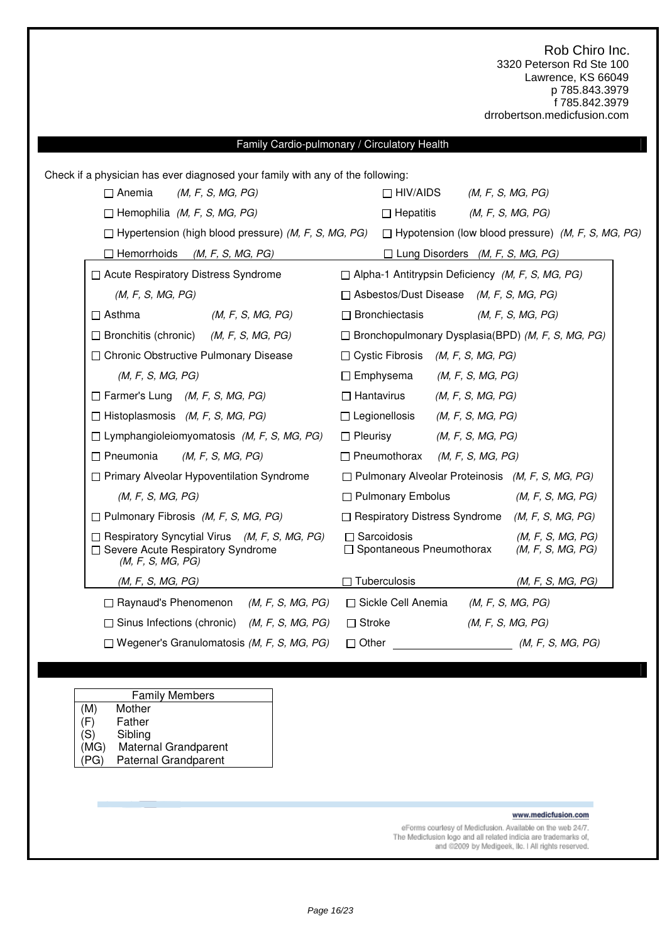# Family Cardio-pulmonary / Circulatory Health Check if a physician has ever diagnosed your family with any of the following:  $\Box$  Anemia (M, F, S, MG, PG)  $\Box$  HIV/AIDS (M, F, S, MG, PG)  $\Box$  Hemophilia (M, F, S, MG, PG)  $\Box$  Hepatitis (M, F, S, MG, PG)  $\Box$  Hypertension (high blood pressure) (M, F, S, MG, PG)  $\Box$  Hypotension (low blood pressure) (M, F, S, MG, PG)  $\Box$  Hemorrhoids (M, F, S, MG, PG)  $\Box$  Lung Disorders (M, F, S, MG, PG)  $\Box$  Acute Respiratory Distress Syndrome  $\Box$  Alpha-1 Antitrypsin Deficiency (M, F, S, MG, PG)  $(M, F, S, MG, PG)$   $\Box$  Asbestos/Dust Disease  $(M, F, S, MG, PG)$  $\Box$  Asthma  $(M, F, S, MG, PG)$   $\Box$  Bronchiectasis  $(M, F, S, MG, PG)$  $\Box$  Bronchitis (chronic) (M, F, S, MG, PG)  $\Box$  Bronchopulmonary Dysplasia(BPD) (M, F, S, MG, PG)  $\Box$  Chronic Obstructive Pulmonary Disease  $\Box$  Cystic Fibrosis (M, F, S, MG, PG)  $(M, F, S, MG, PG)$   $\Box$  Emphysema  $(M, F, S, MG, PG)$  $\Box$  Farmer's Lung (M, F, S, MG, PG)  $\Box$  Hantavirus (M, F, S, MG, PG)  $\Box$  Histoplasmosis (M, F, S, MG, PG)  $\Box$  Legionellosis (M, F, S, MG, PG)  $\Box$  Lymphangioleiomyomatosis (M, F, S, MG, PG)  $\Box$  Pleurisy (M, F, S, MG, PG)  $\Box$  Pneumonia (M, F, S, MG, PG)  $\Box$  Pneumothorax (M, F, S, MG, PG)  $\Box$  Primary Alveolar Hypoventilation Syndrome  $\Box$  Pulmonary Alveolar Proteinosis (M, F, S, MG, PG)  $(M, F, S, MG, PG)$   $\Box$  Pulmonary Embolus  $(M, F, S, MG, PG)$  $\Box$  Pulmonary Fibrosis (M, F, S, MG, PG)  $\Box$  Respiratory Distress Syndrome (M, F, S, MG, PG)  $\Box$  Respiratory Syncytial Virus (M, F, S, MG, PG)  $\Box$  Sarcoidosis (M, F, S, MG, PG)  $\Box$  Severe Acute Respiratory Syndrome (M, F, S, MG, PG)  $\Box$  Spontaneous Pneumothorax (M, F, S, MG, PG)  $(M, F, S, MG, PG)$  Tuberculosis  $(M, F, S, MG, PG)$  $\Box$  Raynaud's Phenomenon (M, F, S, MG, PG)  $\Box$  Sickle Cell Anemia (M, F, S, MG, PG)  $\Box$  Sinus Infections (chronic) (M, F, S, MG, PG)  $\Box$  Stroke (M, F, S, MG, PG)  $\Box$  Wegener's Granulomatosis (M, F, S, MG, PG)  $\Box$  Other (M, F, S, MG, PG)

| <b>Family Members</b> |  |
|-----------------------|--|
| Mother                |  |
| $E$ nthor             |  |

(F) Father (S) Sibling

 $(M)$ 

- 
- (MG) Maternal Grandparent (PG) Paternal Grandparent

www.medicfusion.com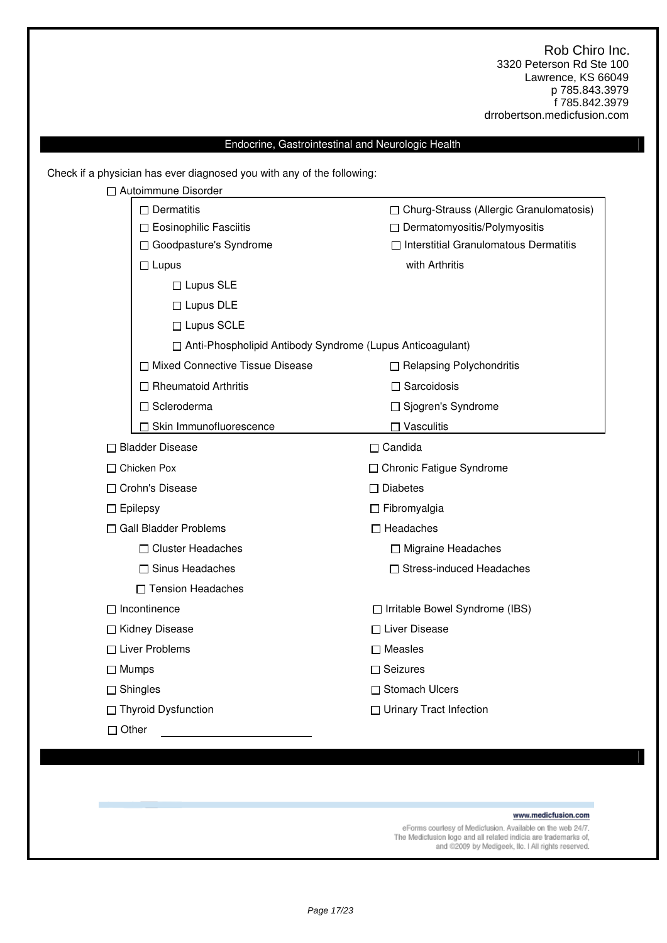### Endocrine, Gastrointestinal and Neurologic Health

Check if a physician has ever diagnosed you with any of the following:

| □ Autoimmune Disorder                                       |                                              |  |  |
|-------------------------------------------------------------|----------------------------------------------|--|--|
| $\Box$ Dermatitis                                           | □ Churg-Strauss (Allergic Granulomatosis)    |  |  |
| □ Eosinophilic Fasciitis                                    | □ Dermatomyositis/Polymyositis               |  |  |
| □ Goodpasture's Syndrome                                    | $\Box$ Interstitial Granulomatous Dermatitis |  |  |
| $\Box$ Lupus                                                | with Arthritis                               |  |  |
| $\Box$ Lupus SLE                                            |                                              |  |  |
| $\Box$ Lupus DLE                                            |                                              |  |  |
| □ Lupus SCLE                                                |                                              |  |  |
| □ Anti-Phospholipid Antibody Syndrome (Lupus Anticoagulant) |                                              |  |  |
| □ Mixed Connective Tissue Disease                           | □ Relapsing Polychondritis                   |  |  |
| $\Box$ Rheumatoid Arthritis                                 | $\Box$ Sarcoidosis                           |  |  |
| □ Scleroderma                                               | □ Sjogren's Syndrome                         |  |  |
| □ Skin Immunofluorescence                                   | $\Box$ Vasculitis                            |  |  |
| □ Bladder Disease                                           | $\Box$ Candida                               |  |  |
| □ Chicken Pox                                               | □ Chronic Fatigue Syndrome                   |  |  |
| □ Crohn's Disease                                           | $\Box$ Diabetes                              |  |  |
| $\Box$ Epilepsy                                             | $\Box$ Fibromyalgia                          |  |  |
| □ Gall Bladder Problems                                     | $\Box$ Headaches                             |  |  |
| □ Cluster Headaches                                         | □ Migraine Headaches                         |  |  |
| □ Sinus Headaches                                           | □ Stress-induced Headaches                   |  |  |
| □ Tension Headaches                                         |                                              |  |  |
| $\Box$ Incontinence                                         | □ Irritable Bowel Syndrome (IBS)             |  |  |
| □ Kidney Disease                                            | □ Liver Disease                              |  |  |
| □ Liver Problems                                            | $\square$ Measles                            |  |  |
| $\Box$ Mumps                                                | $\Box$ Seizures                              |  |  |
| $\Box$ Shingles                                             | □ Stomach Ulcers                             |  |  |
| □ Thyroid Dysfunction                                       | □ Urinary Tract Infection                    |  |  |
| $\Box$ Other                                                |                                              |  |  |

#### www.medicfusion.com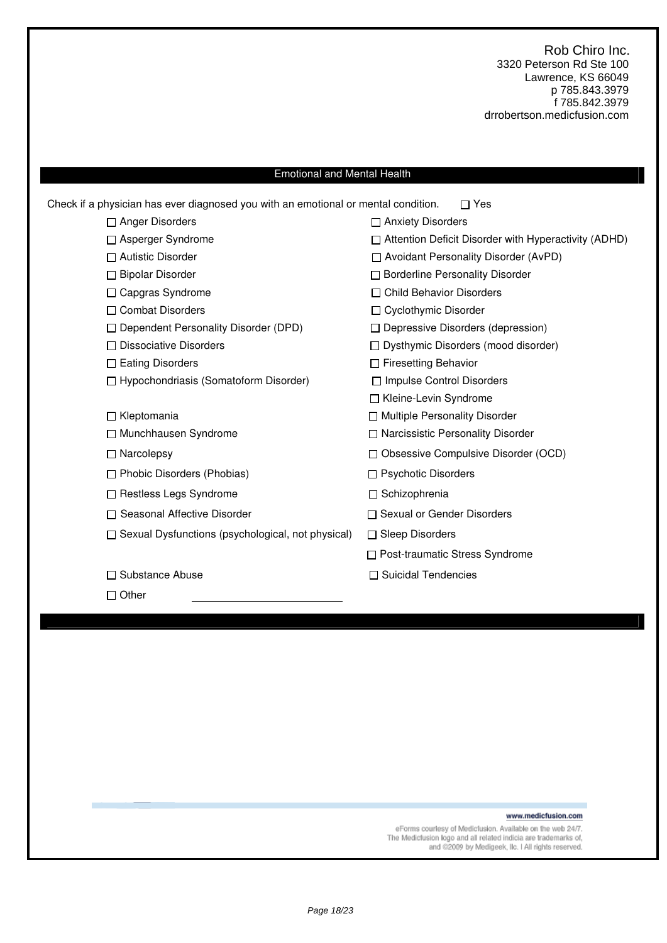### Emotional and Mental Health

| Check if a physician has ever diagnosed you with an emotional or mental condition. | Yes                                                         |
|------------------------------------------------------------------------------------|-------------------------------------------------------------|
| $\Box$ Anger Disorders                                                             | □ Anxiety Disorders                                         |
| □ Asperger Syndrome                                                                | $\Box$ Attention Deficit Disorder with Hyperactivity (ADHD) |
| $\Box$ Autistic Disorder                                                           | □ Avoidant Personality Disorder (AvPD)                      |
| □ Bipolar Disorder                                                                 | □ Borderline Personality Disorder                           |
| □ Capgras Syndrome                                                                 | □ Child Behavior Disorders                                  |
| □ Combat Disorders                                                                 | □ Cyclothymic Disorder                                      |
| □ Dependent Personality Disorder (DPD)                                             | $\Box$ Depressive Disorders (depression)                    |
| $\Box$ Dissociative Disorders                                                      | $\Box$ Dysthymic Disorders (mood disorder)                  |
| $\Box$ Eating Disorders                                                            | □ Firesetting Behavior                                      |
| $\Box$ Hypochondriasis (Somatoform Disorder)                                       | □ Impulse Control Disorders                                 |
|                                                                                    | □ Kleine-Levin Syndrome                                     |
| $\Box$ Kleptomania                                                                 | □ Multiple Personality Disorder                             |
| □ Munchhausen Syndrome                                                             | □ Narcissistic Personality Disorder                         |
| $\Box$ Narcolepsy                                                                  | □ Obsessive Compulsive Disorder (OCD)                       |
| $\Box$ Phobic Disorders (Phobias)                                                  | $\Box$ Psychotic Disorders                                  |
| $\Box$ Restless Legs Syndrome                                                      | □ Schizophrenia                                             |
| □ Seasonal Affective Disorder                                                      | □ Sexual or Gender Disorders                                |
| $\Box$ Sexual Dysfunctions (psychological, not physical)                           | $\Box$ Sleep Disorders                                      |
|                                                                                    | □ Post-traumatic Stress Syndrome                            |
| □ Substance Abuse                                                                  | □ Suicidal Tendencies                                       |
| $\square$ Other                                                                    |                                                             |
|                                                                                    |                                                             |

### www.medicfusion.com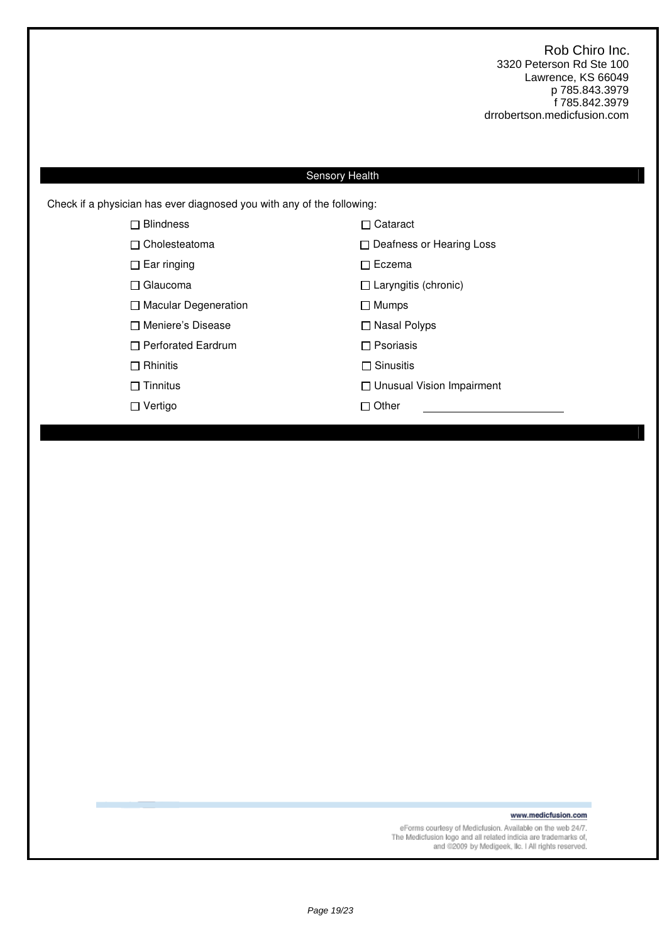## Sensory Health

Check if a physician has ever diagnosed you with any of the following:

| <b>Blindness</b><br>П       | $\Box$ Cataract                  |
|-----------------------------|----------------------------------|
| $\Box$ Cholesteatoma        | □ Deafness or Hearing Loss       |
| $\Box$ Ear ringing          | $\sqcap$ Eczema                  |
| $\Box$ Glaucoma             | $\Box$ Laryngitis (chronic)      |
| $\Box$ Macular Degeneration | $\Box$ Mumps                     |
| □ Meniere's Disease         | □ Nasal Polyps                   |
| $\Box$ Perforated Eardrum   | $\Box$ Psoriasis                 |
| $\Box$ Rhinitis             | $\Box$ Sinusitis                 |
| $\Box$ Tinnitus             | $\Box$ Unusual Vision Impairment |
| $\Box$ Vertigo              | $\sqcap$ Other                   |
|                             |                                  |

www.medicfusion.com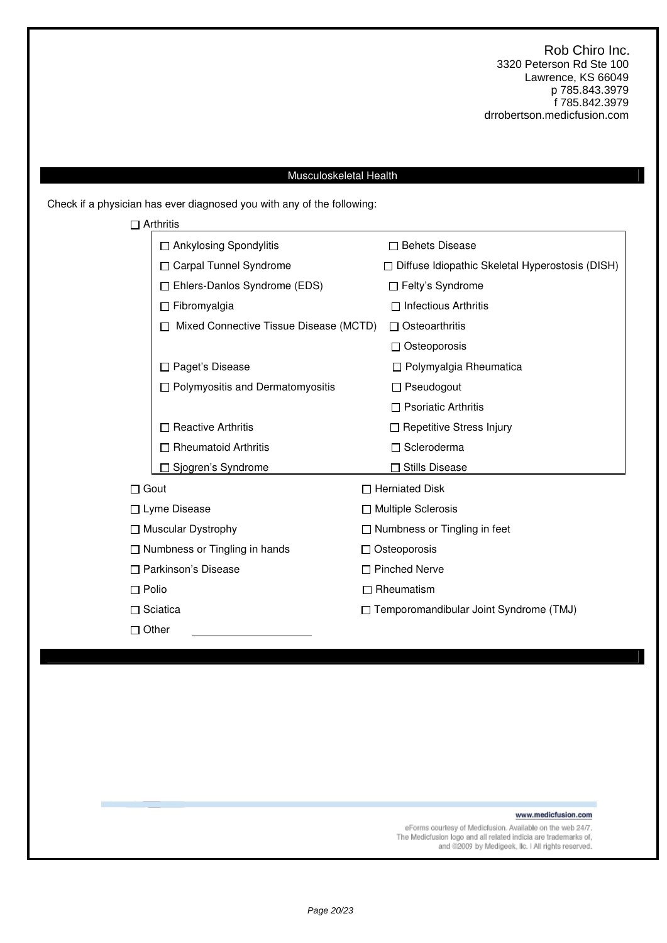### Musculoskeletal Health

Check if a physician has ever diagnosed you with any of the following:

|                                      | $\Box$ Arthritis                        |                     |                                                        |
|--------------------------------------|-----------------------------------------|---------------------|--------------------------------------------------------|
|                                      | □ Ankylosing Spondylitis                |                     | □ Behets Disease                                       |
|                                      | □ Carpal Tunnel Syndrome                |                     | $\Box$ Diffuse Idiopathic Skeletal Hyperostosis (DISH) |
|                                      | $\Box$ Ehlers-Danlos Syndrome (EDS)     |                     | $\Box$ Felty's Syndrome                                |
|                                      | $\Box$ Fibromyalgia                     |                     | $\Box$ Infectious Arthritis                            |
|                                      | Mixed Connective Tissue Disease (MCTD)  |                     | $\Box$ Osteoarthritis                                  |
|                                      |                                         |                     | $\Box$ Osteoporosis                                    |
|                                      | □ Paget's Disease                       |                     | □ Polymyalgia Rheumatica                               |
|                                      | $\Box$ Polymyositis and Dermatomyositis |                     | $\Box$ Pseudogout                                      |
|                                      |                                         |                     | $\Box$ Psoriatic Arthritis                             |
|                                      | $\Box$ Reactive Arthritis               |                     | □ Repetitive Stress Injury                             |
|                                      | □ Rheumatoid Arthritis                  |                     | □ Scleroderma                                          |
|                                      | Sjogren's Syndrome                      |                     | <b>Stills Disease</b>                                  |
| $\Box$ Gout                          |                                         |                     | $\Box$ Herniated Disk                                  |
|                                      | □ Lyme Disease                          |                     | $\Box$ Multiple Sclerosis                              |
|                                      | $\Box$ Muscular Dystrophy               |                     | $\Box$ Numbness or Tingling in feet                    |
| $\Box$ Numbness or Tingling in hands |                                         | $\Box$ Osteoporosis |                                                        |
|                                      | □ Parkinson's Disease                   |                     | □ Pinched Nerve                                        |
| $\Box$ Polio                         |                                         | П                   | Rheumatism                                             |
|                                      | $\Box$ Sciatica                         |                     | □ Temporomandibular Joint Syndrome (TMJ)               |
| $\Box$ Other                         |                                         |                     |                                                        |
|                                      |                                         |                     |                                                        |

www.medicfusion.com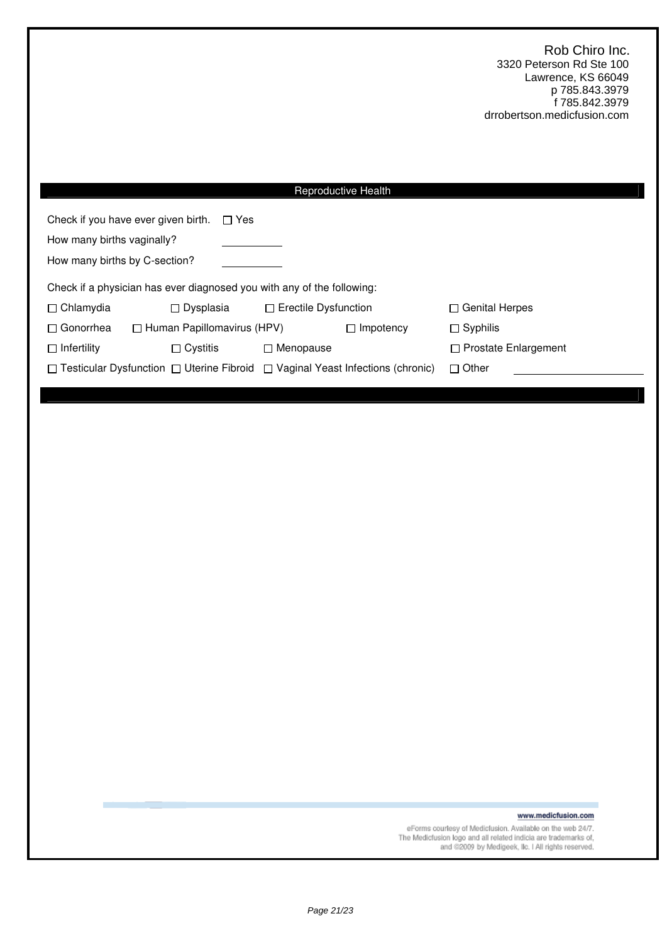| <b>Reproductive Health</b>                                                                                       |                             |                             |  |  |  |
|------------------------------------------------------------------------------------------------------------------|-----------------------------|-----------------------------|--|--|--|
| Check if you have ever given birth.<br>$\Box$ Yes<br>How many births vaginally?<br>How many births by C-section? |                             |                             |  |  |  |
| Check if a physician has ever diagnosed you with any of the following:                                           |                             |                             |  |  |  |
| $\Box$ Chlamydia<br>$\Box$ Dysplasia                                                                             | $\Box$ Erectile Dysfunction | $\Box$ Genital Herpes       |  |  |  |
| $\Box$ Human Papillomavirus (HPV)<br>$\Box$ Gonorrhea                                                            | $\Box$ Impotency            | $\Box$ Syphilis             |  |  |  |
| $\Box$ Infertility<br>$\Box$ Cystitis                                                                            | $\Box$ Menopause            | $\Box$ Prostate Enlargement |  |  |  |
| $\Box$ Testicular Dysfunction $\Box$ Uterine Fibroid $\Box$ Vaginal Yeast Infections (chronic)<br>$\Box$ Other   |                             |                             |  |  |  |

www.medicfusion.com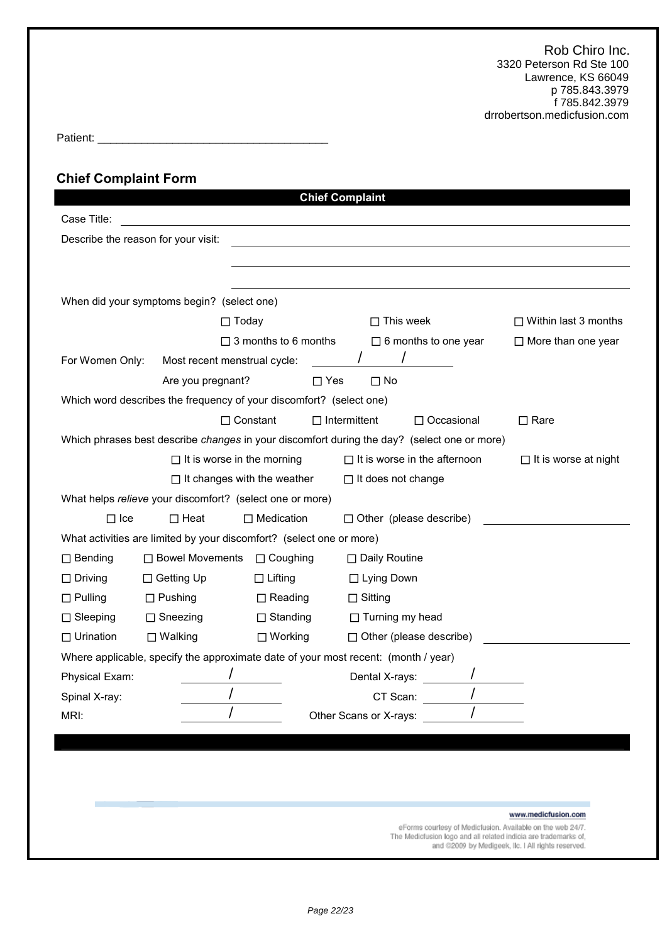| Dotiont:<br>711511<br>. |  |
|-------------------------|--|
|                         |  |

## **Chief Complaint Form**

|                                                                                  |                                                                                    | <b>Chief Complaint</b>                 |                                                                                             |                             |  |  |  |
|----------------------------------------------------------------------------------|------------------------------------------------------------------------------------|----------------------------------------|---------------------------------------------------------------------------------------------|-----------------------------|--|--|--|
| Case Title:                                                                      |                                                                                    |                                        |                                                                                             |                             |  |  |  |
| Describe the reason for your visit:                                              |                                                                                    |                                        |                                                                                             |                             |  |  |  |
|                                                                                  |                                                                                    |                                        |                                                                                             |                             |  |  |  |
|                                                                                  |                                                                                    |                                        |                                                                                             |                             |  |  |  |
|                                                                                  | When did your symptoms begin? (select one)                                         |                                        |                                                                                             |                             |  |  |  |
|                                                                                  | $\Box$ Today                                                                       |                                        | $\Box$ This week                                                                            | $\Box$ Within last 3 months |  |  |  |
|                                                                                  |                                                                                    | $\Box$ 3 months to 6 months            | $\Box$ 6 months to one year                                                                 | $\Box$ More than one year   |  |  |  |
| For Women Only:                                                                  | Most recent menstrual cycle:                                                       |                                        | $\sqrt{2}$                                                                                  |                             |  |  |  |
|                                                                                  | Are you pregnant?                                                                  | $\Box$ Yes                             | $\Box$ No                                                                                   |                             |  |  |  |
|                                                                                  | Which word describes the frequency of your discomfort? (select one)                |                                        |                                                                                             |                             |  |  |  |
|                                                                                  |                                                                                    | $\Box$ Constant<br>$\Box$ Intermittent | $\Box$ Occasional                                                                           | $\Box$ Rare                 |  |  |  |
|                                                                                  |                                                                                    |                                        | Which phrases best describe changes in your discomfort during the day? (select one or more) |                             |  |  |  |
|                                                                                  | $\Box$ It is worse in the morning                                                  |                                        | $\Box$ It is worse in the afternoon                                                         | $\Box$ It is worse at night |  |  |  |
|                                                                                  |                                                                                    | $\Box$ It changes with the weather     | $\Box$ It does not change                                                                   |                             |  |  |  |
|                                                                                  | What helps relieve your discomfort? (select one or more)                           |                                        |                                                                                             |                             |  |  |  |
| $\Box$ Ice<br>$\Box$ Heat<br>$\Box$ Medication<br>$\Box$ Other (please describe) |                                                                                    |                                        |                                                                                             |                             |  |  |  |
|                                                                                  | What activities are limited by your discomfort? (select one or more)               |                                        |                                                                                             |                             |  |  |  |
| $\Box$ Bending                                                                   | □ Bowel Movements                                                                  | $\Box$ Coughing                        | □ Daily Routine                                                                             |                             |  |  |  |
| $\Box$ Driving                                                                   | □ Getting Up                                                                       | $\Box$ Lifting                         | □ Lying Down                                                                                |                             |  |  |  |
| $\Box$ Pulling                                                                   | $\Box$ Pushing                                                                     | $\Box$ Reading                         | $\Box$ Sitting                                                                              |                             |  |  |  |
| $\Box$ Sleeping                                                                  | $\Box$ Sneezing                                                                    | $\Box$ Standing                        | $\Box$ Turning my head                                                                      |                             |  |  |  |
| $\Box$ Urination                                                                 | $\Box$ Walking                                                                     | $\Box$ Working                         | $\Box$ Other (please describe)                                                              |                             |  |  |  |
|                                                                                  | Where applicable, specify the approximate date of your most recent: (month / year) |                                        |                                                                                             |                             |  |  |  |
| Physical Exam:                                                                   |                                                                                    |                                        | Dental X-rays: $\qquad \qquad$ /                                                            |                             |  |  |  |
| Spinal X-ray:                                                                    | $\mathcal{L}$                                                                      |                                        | CT Scan:                                                                                    |                             |  |  |  |
| MRI:                                                                             |                                                                                    |                                        | Other Scans or X-rays:                                                                      |                             |  |  |  |
|                                                                                  |                                                                                    |                                        |                                                                                             |                             |  |  |  |
|                                                                                  |                                                                                    |                                        |                                                                                             |                             |  |  |  |
|                                                                                  |                                                                                    |                                        |                                                                                             |                             |  |  |  |
|                                                                                  |                                                                                    |                                        |                                                                                             |                             |  |  |  |
|                                                                                  |                                                                                    |                                        | eForms courtesy of Medicfusion. Available on the web 24/7.                                  | www.medicfusion.com         |  |  |  |
|                                                                                  |                                                                                    |                                        |                                                                                             |                             |  |  |  |

The Medicfusion logo and all related indicia are trademarks of,<br>and @2009 by Medigeek, IIc. I All rights reserved.